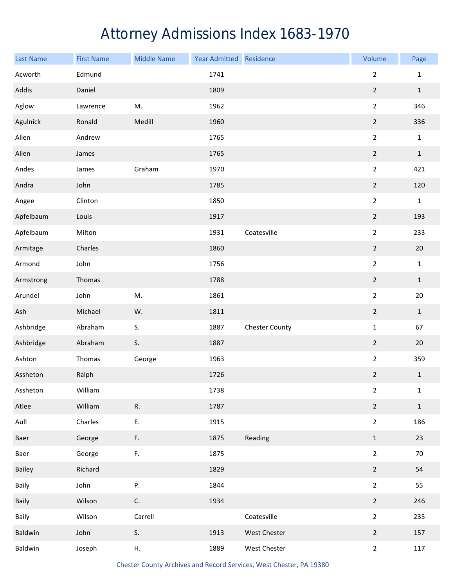## Attorney Admissions Index 1683-1970

| Last Name | <b>First Name</b> | <b>Middle Name</b> | Year Admitted Residence |                       | Volume           | Page         |
|-----------|-------------------|--------------------|-------------------------|-----------------------|------------------|--------------|
| Acworth   | Edmund            |                    | 1741                    |                       | $\overline{2}$   | $\mathbf 1$  |
| Addis     | Daniel            |                    | 1809                    |                       | $\boldsymbol{2}$ | $1\,$        |
| Aglow     | Lawrence          | M.                 | 1962                    |                       | $\overline{2}$   | 346          |
| Agulnick  | Ronald            | Medill             | 1960                    |                       | $\overline{2}$   | 336          |
| Allen     | Andrew            |                    | 1765                    |                       | $\overline{2}$   | $\mathbf 1$  |
| Allen     | James             |                    | 1765                    |                       | $\overline{2}$   | $\mathbf 1$  |
| Andes     | James             | Graham             | 1970                    |                       | $\overline{2}$   | 421          |
| Andra     | John              |                    | 1785                    |                       | $\overline{2}$   | 120          |
| Angee     | Clinton           |                    | 1850                    |                       | $\overline{2}$   | $\mathbf{1}$ |
| Apfelbaum | Louis             |                    | 1917                    |                       | $\overline{2}$   | 193          |
| Apfelbaum | Milton            |                    | 1931                    | Coatesville           | $\overline{2}$   | 233          |
| Armitage  | Charles           |                    | 1860                    |                       | $\overline{2}$   | 20           |
| Armond    | John              |                    | 1756                    |                       | $\mathbf 2$      | $\mathbf 1$  |
| Armstrong | Thomas            |                    | 1788                    |                       | $\overline{2}$   | $1\,$        |
| Arundel   | John              | M.                 | 1861                    |                       | $\overline{2}$   | 20           |
| Ash       | Michael           | W.                 | 1811                    |                       | $\overline{2}$   | $1\,$        |
| Ashbridge | Abraham           | S.                 | 1887                    | <b>Chester County</b> | $\mathbf 1$      | 67           |
| Ashbridge | Abraham           | S.                 | 1887                    |                       | $\overline{2}$   | 20           |
| Ashton    | Thomas            | George             | 1963                    |                       | $\overline{2}$   | 359          |
| Assheton  | Ralph             |                    | 1726                    |                       | $\overline{2}$   | $\mathbf 1$  |
| Assheton  | William           |                    | 1738                    |                       | $\overline{2}$   | $\mathbf{1}$ |
| Atlee     | William           | R.                 | 1787                    |                       | $\overline{2}$   | $\mathbf 1$  |
| Aull      | Charles           | Ε.                 | 1915                    |                       | $\overline{2}$   | 186          |
| Baer      | George            | F.                 | 1875                    | Reading               | $1\,$            | 23           |
| Baer      | George            | F.                 | 1875                    |                       | $\overline{2}$   | 70           |
| Bailey    | Richard           |                    | 1829                    |                       | $\overline{2}$   | 54           |
| Baily     | John              | Ρ.                 | 1844                    |                       | $\overline{2}$   | 55           |
| Baily     | Wilson            | C.                 | 1934                    |                       | $\overline{2}$   | 246          |
| Baily     | Wilson            | Carrell            |                         | Coatesville           | $\overline{2}$   | 235          |
| Baldwin   | John              | S.                 | 1913                    | West Chester          | $\overline{2}$   | 157          |
| Baldwin   | Joseph            | Η.                 | 1889                    | West Chester          | $\overline{2}$   | 117          |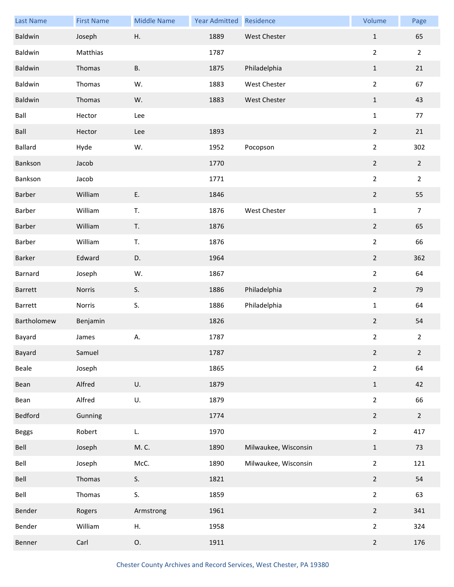| <b>Last Name</b> | <b>First Name</b> | <b>Middle Name</b> | Year Admitted | Residence            | Volume         | Page           |
|------------------|-------------------|--------------------|---------------|----------------------|----------------|----------------|
| Baldwin          | Joseph            | Η.                 | 1889          | West Chester         | $\mathbf 1$    | 65             |
| Baldwin          | Matthias          |                    | 1787          |                      | $\overline{2}$ | $\overline{2}$ |
| Baldwin          | Thomas            | <b>B.</b>          | 1875          | Philadelphia         | $\mathbf{1}$   | 21             |
| Baldwin          | Thomas            | W.                 | 1883          | West Chester         | $\overline{2}$ | 67             |
| Baldwin          | Thomas            | W.                 | 1883          | <b>West Chester</b>  | $\,1\,$        | 43             |
| Ball             | Hector            | Lee                |               |                      | $\mathbf 1$    | 77             |
| Ball             | Hector            | Lee                | 1893          |                      | $\overline{2}$ | 21             |
| <b>Ballard</b>   | Hyde              | W.                 | 1952          | Pocopson             | $\overline{2}$ | 302            |
| Bankson          | Jacob             |                    | 1770          |                      | $\overline{2}$ | $\overline{2}$ |
| Bankson          | Jacob             |                    | 1771          |                      | $\overline{2}$ | $\overline{2}$ |
| Barber           | William           | E.                 | 1846          |                      | $\overline{2}$ | 55             |
| Barber           | William           | T.                 | 1876          | West Chester         | $\mathbf 1$    | $\overline{7}$ |
| Barber           | William           | T.                 | 1876          |                      | $\overline{2}$ | 65             |
| Barber           | William           | T.                 | 1876          |                      | $\overline{2}$ | 66             |
| Barker           | Edward            | D.                 | 1964          |                      | $\overline{2}$ | 362            |
| Barnard          | Joseph            | W.                 | 1867          |                      | $\overline{2}$ | 64             |
| Barrett          | Norris            | S.                 | 1886          | Philadelphia         | $\overline{2}$ | 79             |
| Barrett          | Norris            | S.                 | 1886          | Philadelphia         | $\mathbf{1}$   | 64             |
| Bartholomew      | Benjamin          |                    | 1826          |                      | $\overline{2}$ | 54             |
| Bayard           | James             | А.                 | 1787          |                      | $\overline{2}$ | $\overline{2}$ |
| Bayard           | Samuel            |                    | 1787          |                      | $\overline{2}$ | $\overline{2}$ |
| Beale            | Joseph            |                    | 1865          |                      | $\overline{2}$ | 64             |
| Bean             | Alfred            | U.                 | 1879          |                      | $\mathbf{1}$   | 42             |
| Bean             | Alfred            | U.                 | 1879          |                      | $\overline{2}$ | 66             |
| Bedford          | Gunning           |                    | 1774          |                      | $\overline{2}$ | $2^{\circ}$    |
| <b>Beggs</b>     | Robert            | L.                 | 1970          |                      | $\overline{2}$ | 417            |
| Bell             | Joseph            | M. C.              | 1890          | Milwaukee, Wisconsin | $\mathbf{1}$   | 73             |
| Bell             | Joseph            | McC.               | 1890          | Milwaukee, Wisconsin | $\overline{2}$ | 121            |
| Bell             | Thomas            | S.                 | 1821          |                      | $\overline{2}$ | 54             |
| Bell             | Thomas            | S.                 | 1859          |                      | $\overline{2}$ | 63             |
| Bender           | Rogers            | Armstrong          | 1961          |                      | $\overline{2}$ | 341            |
| Bender           | William           | Η.                 | 1958          |                      | $\overline{2}$ | 324            |
| Benner           | Carl              | О.                 | 1911          |                      | $\overline{2}$ | 176            |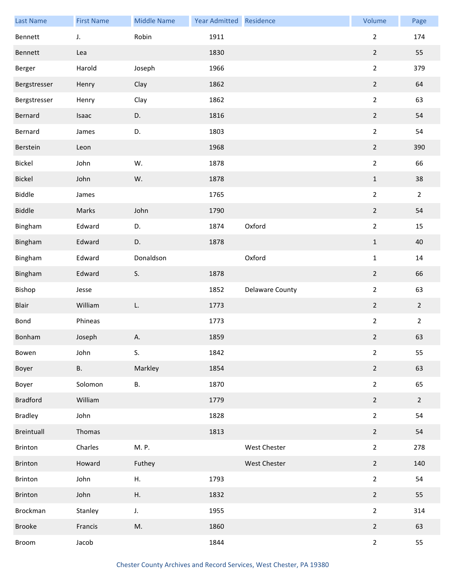| <b>Last Name</b> | <b>First Name</b> | <b>Middle Name</b> | Year Admitted Residence |                 | Volume         | Page           |
|------------------|-------------------|--------------------|-------------------------|-----------------|----------------|----------------|
| Bennett          | J.                | Robin              | 1911                    |                 | $\overline{2}$ | 174            |
| Bennett          | Lea               |                    | 1830                    |                 | $\overline{2}$ | 55             |
| Berger           | Harold            | Joseph             | 1966                    |                 | $\overline{2}$ | 379            |
| Bergstresser     | Henry             | Clay               | 1862                    |                 | $\overline{2}$ | 64             |
| Bergstresser     | Henry             | Clay               | 1862                    |                 | $\overline{2}$ | 63             |
| Bernard          | Isaac             | D.                 | 1816                    |                 | $\overline{2}$ | 54             |
| Bernard          | James             | D.                 | 1803                    |                 | $\overline{2}$ | 54             |
| Berstein         | Leon              |                    | 1968                    |                 | $\overline{2}$ | 390            |
| Bickel           | John              | W.                 | 1878                    |                 | $\overline{2}$ | 66             |
| Bickel           | John              | W.                 | 1878                    |                 | $\mathbf 1$    | 38             |
| <b>Biddle</b>    | James             |                    | 1765                    |                 | $\overline{2}$ | $\overline{2}$ |
| <b>Biddle</b>    | Marks             | John               | 1790                    |                 | $\overline{2}$ | 54             |
| Bingham          | Edward            | D.                 | 1874                    | Oxford          | $\overline{2}$ | 15             |
| Bingham          | Edward            | D.                 | 1878                    |                 | $\mathbf 1$    | 40             |
| Bingham          | Edward            | Donaldson          |                         | Oxford          | $\mathbf{1}$   | $14\,$         |
| Bingham          | Edward            | S.                 | 1878                    |                 | $\overline{2}$ | 66             |
| Bishop           | Jesse             |                    | 1852                    | Delaware County | $\overline{2}$ | 63             |
| Blair            | William           | L.                 | 1773                    |                 | $\overline{2}$ | $\overline{2}$ |
| Bond             | Phineas           |                    | 1773                    |                 | $\overline{2}$ | $\overline{2}$ |
| Bonham           | Joseph            | А.                 | 1859                    |                 | $\mathbf 2$    | 63             |
| Bowen            | John              | S.                 | 1842                    |                 | $\overline{2}$ | 55             |
| Boyer            | <b>B.</b>         | Markley            | 1854                    |                 | $\overline{2}$ | 63             |
| Boyer            | Solomon           | В.                 | 1870                    |                 | $\overline{2}$ | 65             |
| <b>Bradford</b>  | William           |                    | 1779                    |                 | $\overline{2}$ | $\overline{2}$ |
| <b>Bradley</b>   | John              |                    | 1828                    |                 | $\overline{2}$ | 54             |
| Breintuall       | Thomas            |                    | 1813                    |                 | $\overline{2}$ | 54             |
| Brinton          | Charles           | M. P.              |                         | West Chester    | $\overline{2}$ | 278            |
| Brinton          | Howard            | Futhey             |                         | West Chester    | $\overline{2}$ | 140            |
| Brinton          | John              | Η.                 | 1793                    |                 | $\overline{2}$ | 54             |
| Brinton          | John              | Η.                 | 1832                    |                 | $\overline{2}$ | 55             |
| Brockman         | Stanley           | J.                 | 1955                    |                 | $\overline{2}$ | 314            |
| Brooke           | Francis           | M.                 | 1860                    |                 | $\overline{2}$ | 63             |
| Broom            | Jacob             |                    | 1844                    |                 | $\overline{2}$ | 55             |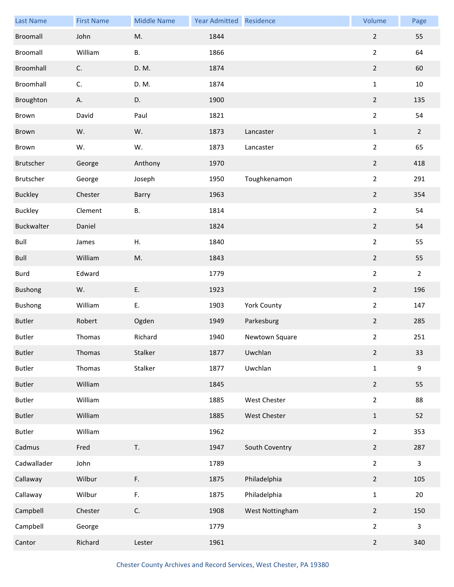| <b>Last Name</b> | <b>First Name</b> | <b>Middle Name</b> | Year Admitted Residence |                    | Volume         | Page           |
|------------------|-------------------|--------------------|-------------------------|--------------------|----------------|----------------|
| Broomall         | John              | M.                 | 1844                    |                    | $\overline{2}$ | 55             |
| Broomall         | William           | <b>B.</b>          | 1866                    |                    | $\overline{2}$ | 64             |
| Broomhall        | C.                | D. M.              | 1874                    |                    | $\overline{2}$ | 60             |
| Broomhall        | C.                | D. M.              | 1874                    |                    | $\mathbf{1}$   | 10             |
| Broughton        | А.                | D.                 | 1900                    |                    | $\overline{2}$ | 135            |
| Brown            | David             | Paul               | 1821                    |                    | $\overline{a}$ | 54             |
| Brown            | W.                | W.                 | 1873                    | Lancaster          | $\mathbf{1}$   | $\overline{2}$ |
| Brown            | W.                | W.                 | 1873                    | Lancaster          | $\overline{2}$ | 65             |
| Brutscher        | George            | Anthony            | 1970                    |                    | $\overline{2}$ | 418            |
| Brutscher        | George            | Joseph             | 1950                    | Toughkenamon       | $\overline{2}$ | 291            |
| <b>Buckley</b>   | Chester           | Barry              | 1963                    |                    | $\overline{2}$ | 354            |
| <b>Buckley</b>   | Clement           | В.                 | 1814                    |                    | $\overline{2}$ | 54             |
| Buckwalter       | Daniel            |                    | 1824                    |                    | $\overline{2}$ | 54             |
| Bull             | James             | Η.                 | 1840                    |                    | $\overline{2}$ | 55             |
| Bull             | William           | M.                 | 1843                    |                    | $\overline{2}$ | 55             |
| Burd             | Edward            |                    | 1779                    |                    | $\overline{2}$ | $\overline{2}$ |
| Bushong          | W.                | Ε.                 | 1923                    |                    | $\overline{2}$ | 196            |
| <b>Bushong</b>   | William           | Ε.                 | 1903                    | <b>York County</b> | $\overline{2}$ | 147            |
| <b>Butler</b>    | Robert            | Ogden              | 1949                    | Parkesburg         | $\overline{2}$ | 285            |
| <b>Butler</b>    | Thomas            | Richard            | 1940                    | Newtown Square     | $\overline{2}$ | 251            |
| <b>Butler</b>    | Thomas            | Stalker            | 1877                    | Uwchlan            | $\overline{2}$ | 33             |
| <b>Butler</b>    | Thomas            | Stalker            | 1877                    | Uwchlan            | $\mathbf 1$    | 9              |
| <b>Butler</b>    | William           |                    | 1845                    |                    | $\overline{2}$ | 55             |
| <b>Butler</b>    | William           |                    | 1885                    | West Chester       | $\overline{2}$ | 88             |
| <b>Butler</b>    | William           |                    | 1885                    | West Chester       | $\mathbf{1}$   | 52             |
| <b>Butler</b>    | William           |                    | 1962                    |                    | $\overline{2}$ | 353            |
| Cadmus           | Fred              | T.                 | 1947                    | South Coventry     | $\overline{2}$ | 287            |
| Cadwallader      | John              |                    | 1789                    |                    | $\overline{2}$ | $\mathbf{3}$   |
| Callaway         | Wilbur            | F.                 | 1875                    | Philadelphia       | $\overline{2}$ | 105            |
| Callaway         | Wilbur            | F.                 | 1875                    | Philadelphia       | $\mathbf 1$    | 20             |
| Campbell         | Chester           | C.                 | 1908                    | West Nottingham    | $\overline{2}$ | 150            |
| Campbell         | George            |                    | 1779                    |                    | $\overline{2}$ | $\mathbf{3}$   |
| Cantor           | Richard           | Lester             | 1961                    |                    | $\overline{2}$ | 340            |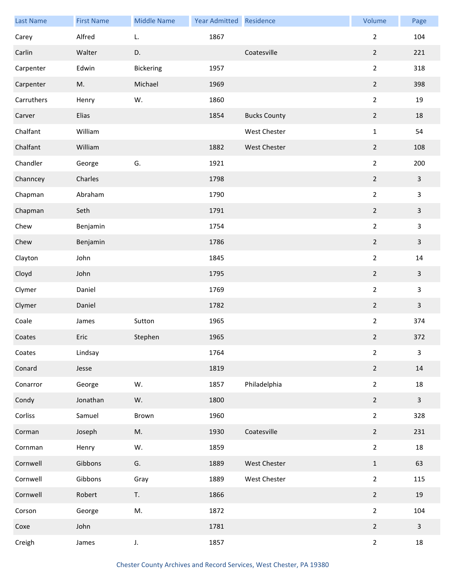| <b>Last Name</b> | <b>First Name</b> | <b>Middle Name</b> | <b>Year Admitted</b> | Residence           | Volume         | Page                    |
|------------------|-------------------|--------------------|----------------------|---------------------|----------------|-------------------------|
| Carey            | Alfred            | L.                 | 1867                 |                     | $\overline{2}$ | 104                     |
| Carlin           | Walter            | D.                 |                      | Coatesville         | $\overline{2}$ | 221                     |
| Carpenter        | Edwin             | Bickering          | 1957                 |                     | $\overline{2}$ | 318                     |
| Carpenter        | M.                | Michael            | 1969                 |                     | $\overline{2}$ | 398                     |
| Carruthers       | Henry             | W.                 | 1860                 |                     | $\overline{2}$ | 19                      |
| Carver           | Elias             |                    | 1854                 | <b>Bucks County</b> | $\overline{2}$ | 18                      |
| Chalfant         | William           |                    |                      | West Chester        | $\mathbf{1}$   | 54                      |
| Chalfant         | William           |                    | 1882                 | West Chester        | $\overline{2}$ | 108                     |
| Chandler         | George            | G.                 | 1921                 |                     | $\overline{2}$ | 200                     |
| Channcey         | Charles           |                    | 1798                 |                     | $\overline{2}$ | $\mathbf{3}$            |
| Chapman          | Abraham           |                    | 1790                 |                     | $\overline{2}$ | $\mathbf{3}$            |
| Chapman          | Seth              |                    | 1791                 |                     | $\overline{2}$ | $\mathbf{3}$            |
| Chew             | Benjamin          |                    | 1754                 |                     | $\overline{2}$ | $\overline{\mathbf{3}}$ |
| Chew             | Benjamin          |                    | 1786                 |                     | $\overline{2}$ | $\mathbf{3}$            |
| Clayton          | John              |                    | 1845                 |                     | $\overline{2}$ | 14                      |
| Cloyd            | John              |                    | 1795                 |                     | $\overline{2}$ | $\mathbf{3}$            |
| Clymer           | Daniel            |                    | 1769                 |                     | $\overline{2}$ | 3                       |
| Clymer           | Daniel            |                    | 1782                 |                     | $\overline{2}$ | $\overline{\mathbf{3}}$ |
| Coale            | James             | Sutton             | 1965                 |                     | $\overline{2}$ | 374                     |
| Coates           | Eric              | Stephen            | 1965                 |                     | $\overline{2}$ | 372                     |
| Coates           | Lindsay           |                    | 1764                 |                     | $\overline{2}$ | $\mathbf{3}$            |
| Conard           | Jesse             |                    | 1819                 |                     | $\overline{2}$ | 14                      |
| Conarror         | George            | W.                 | 1857                 | Philadelphia        | $\overline{2}$ | 18                      |
| Condy            | Jonathan          | W.                 | 1800                 |                     | $\overline{2}$ | $\mathbf{3}$            |
| Corliss          | Samuel            | Brown              | 1960                 |                     | $\overline{2}$ | 328                     |
| Corman           | Joseph            | M.                 | 1930                 | Coatesville         | $\overline{2}$ | 231                     |
| Cornman          | Henry             | W.                 | 1859                 |                     | $\overline{2}$ | 18                      |
| Cornwell         | Gibbons           | G.                 | 1889                 | West Chester        | $\mathbf{1}$   | 63                      |
| Cornwell         | Gibbons           | Gray               | 1889                 | West Chester        | $\overline{2}$ | 115                     |
| Cornwell         | Robert            | T.                 | 1866                 |                     | $\overline{2}$ | 19                      |
| Corson           | George            | M.                 | 1872                 |                     | $\overline{2}$ | 104                     |
| Coxe             | John              |                    | 1781                 |                     | $\overline{2}$ | $\overline{\mathbf{3}}$ |
| Creigh           | James             | J.                 | 1857                 |                     | $\overline{2}$ | 18                      |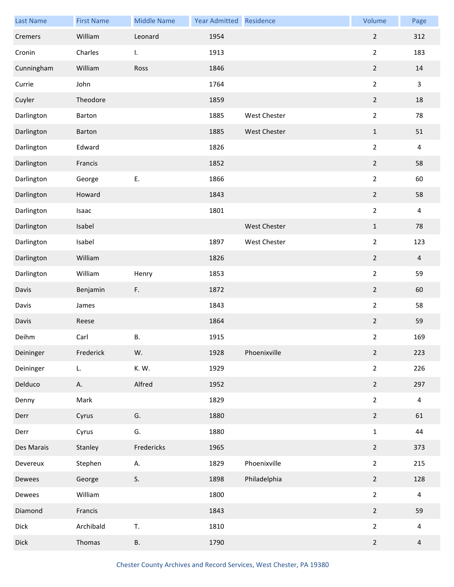| <b>Last Name</b> | <b>First Name</b> | <b>Middle Name</b> | Year Admitted | Residence    | Volume           | Page           |
|------------------|-------------------|--------------------|---------------|--------------|------------------|----------------|
| Cremers          | William           | Leonard            | 1954          |              | $\overline{2}$   | 312            |
| Cronin           | Charles           | I.                 | 1913          |              | $\overline{2}$   | 183            |
| Cunningham       | William           | Ross               | 1846          |              | $\overline{2}$   | 14             |
| Currie           | John              |                    | 1764          |              | $\overline{2}$   | $\mathbf{3}$   |
| Cuyler           | Theodore          |                    | 1859          |              | $\mathbf 2$      | 18             |
| Darlington       | Barton            |                    | 1885          | West Chester | $\overline{2}$   | 78             |
| Darlington       | Barton            |                    | 1885          | West Chester | $\mathbf 1$      | 51             |
| Darlington       | Edward            |                    | 1826          |              | $\overline{2}$   | 4              |
| Darlington       | Francis           |                    | 1852          |              | $\mathbf 2$      | 58             |
| Darlington       | George            | Ε.                 | 1866          |              | $\overline{2}$   | 60             |
| Darlington       | Howard            |                    | 1843          |              | $\overline{2}$   | 58             |
| Darlington       | Isaac             |                    | 1801          |              | $\overline{2}$   | 4              |
| Darlington       | Isabel            |                    |               | West Chester | $\mathbf{1}$     | 78             |
| Darlington       | Isabel            |                    | 1897          | West Chester | $\overline{2}$   | 123            |
| Darlington       | William           |                    | 1826          |              | $\overline{2}$   | $\overline{4}$ |
| Darlington       | William           | Henry              | 1853          |              | $\overline{2}$   | 59             |
| Davis            | Benjamin          | F.                 | 1872          |              | $\overline{2}$   | 60             |
| Davis            | James             |                    | 1843          |              | $\overline{2}$   | 58             |
| Davis            | Reese             |                    | 1864          |              | $\boldsymbol{2}$ | 59             |
| Deihm            | Carl              | Β.                 | 1915          |              | $\overline{2}$   | 169            |
| Deininger        | Frederick         | W.                 | 1928          | Phoenixville | $\overline{2}$   | 223            |
| Deininger        | L.                | K. W.              | 1929          |              | $\overline{2}$   | 226            |
| Delduco          | А.                | Alfred             | 1952          |              | $\overline{2}$   | 297            |
| Denny            | Mark              |                    | 1829          |              | $\overline{2}$   | 4              |
| Derr             | Cyrus             | G.                 | 1880          |              | $\overline{2}$   | 61             |
| Derr             | Cyrus             | G.                 | 1880          |              | $\mathbf 1$      | 44             |
| Des Marais       | Stanley           | Fredericks         | 1965          |              | $\overline{2}$   | 373            |
| Devereux         | Stephen           | А.                 | 1829          | Phoenixville | $\overline{2}$   | 215            |
| Dewees           | George            | S.                 | 1898          | Philadelphia | $\mathbf 2$      | 128            |
| Dewees           | William           |                    | 1800          |              | $\overline{2}$   | 4              |
| Diamond          | Francis           |                    | 1843          |              | $\overline{2}$   | 59             |
| Dick             | Archibald         | T.                 | 1810          |              | $\overline{2}$   | 4              |
| <b>Dick</b>      | Thomas            | В.                 | 1790          |              | $\overline{2}$   | $\overline{4}$ |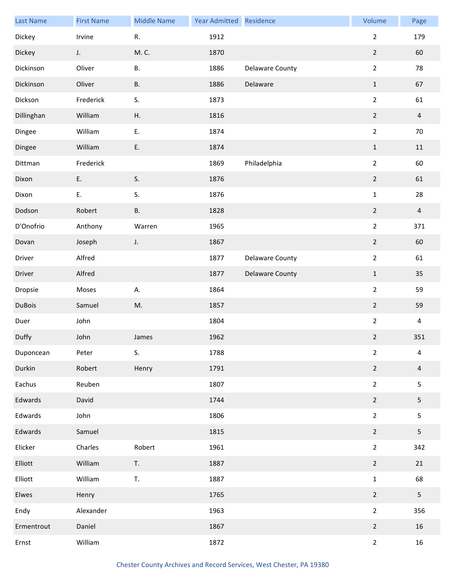| <b>Last Name</b> | <b>First Name</b> | <b>Middle Name</b> | Year Admitted Residence |                        | Volume         | Page           |
|------------------|-------------------|--------------------|-------------------------|------------------------|----------------|----------------|
| Dickey           | Irvine            | ${\sf R}.$         | 1912                    |                        | $\overline{2}$ | 179            |
| Dickey           | J.                | M. C.              | 1870                    |                        | $\overline{2}$ | 60             |
| Dickinson        | Oliver            | Β.                 | 1886                    | Delaware County        | $\overline{2}$ | 78             |
| Dickinson        | Oliver            | В.                 | 1886                    | Delaware               | $\mathbf{1}$   | 67             |
| Dickson          | Frederick         | S.                 | 1873                    |                        | $\overline{2}$ | 61             |
| Dillinghan       | William           | Η.                 | 1816                    |                        | $\overline{2}$ | $\overline{4}$ |
| Dingee           | William           | E.                 | 1874                    |                        | $\mathbf 2$    | 70             |
| Dingee           | William           | E.                 | 1874                    |                        | $\mathbf{1}$   | 11             |
| Dittman          | Frederick         |                    | 1869                    | Philadelphia           | $\overline{2}$ | 60             |
| Dixon            | E.                | S.                 | 1876                    |                        | $\mathbf 2$    | 61             |
| Dixon            | E.                | S.                 | 1876                    |                        | $\mathbf 1$    | 28             |
| Dodson           | Robert            | <b>B.</b>          | 1828                    |                        | $\overline{2}$ | $\overline{4}$ |
| D'Onofrio        | Anthony           | Warren             | 1965                    |                        | $\overline{2}$ | 371            |
| Dovan            | Joseph            | J.                 | 1867                    |                        | $\overline{2}$ | 60             |
| Driver           | Alfred            |                    | 1877                    | Delaware County        | $\overline{2}$ | 61             |
| Driver           | Alfred            |                    | 1877                    | <b>Delaware County</b> | $\,1\,$        | 35             |
| Dropsie          | Moses             | А.                 | 1864                    |                        | $\overline{2}$ | 59             |
| <b>DuBois</b>    | Samuel            | M.                 | 1857                    |                        | $\overline{2}$ | 59             |
| Duer             | John              |                    | 1804                    |                        | $\overline{2}$ | $\overline{4}$ |
| Duffy            | John              | James              | 1962                    |                        | $\overline{2}$ | 351            |
| Duponcean        | Peter             | S.                 | 1788                    |                        | $\overline{2}$ | 4              |
| Durkin           | Robert            | Henry              | 1791                    |                        | $\overline{2}$ | 4              |
| Eachus           | Reuben            |                    | 1807                    |                        | $\overline{2}$ | 5              |
| Edwards          | David             |                    | 1744                    |                        | $\overline{2}$ | 5              |
| Edwards          | John              |                    | 1806                    |                        | $\overline{2}$ | 5              |
| Edwards          | Samuel            |                    | 1815                    |                        | $\overline{2}$ | 5              |
| Elicker          | Charles           | Robert             | 1961                    |                        | $\overline{2}$ | 342            |
| Elliott          | William           | T.                 | 1887                    |                        | $\overline{2}$ | 21             |
| Elliott          | William           | T.                 | 1887                    |                        | $\mathbf 1$    | 68             |
| Elwes            | Henry             |                    | 1765                    |                        | $\overline{2}$ | 5              |
| Endy             | Alexander         |                    | 1963                    |                        | $\overline{2}$ | 356            |
| Ermentrout       | Daniel            |                    | 1867                    |                        | $\overline{2}$ | 16             |
| Ernst            | William           |                    | 1872                    |                        | $\overline{2}$ | 16             |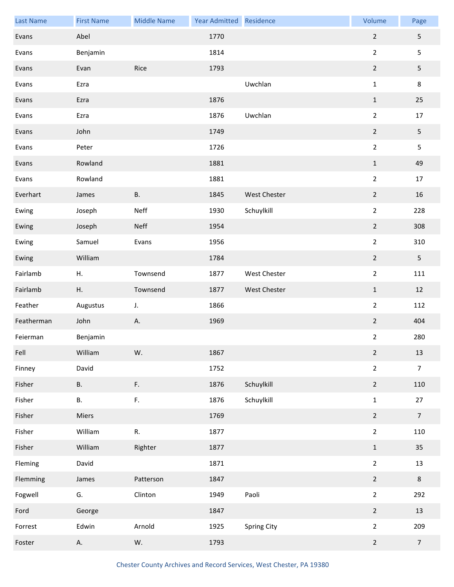| <b>Last Name</b> | <b>First Name</b> | <b>Middle Name</b> | Year Admitted Residence |                     | Volume           | Page           |
|------------------|-------------------|--------------------|-------------------------|---------------------|------------------|----------------|
| Evans            | Abel              |                    | 1770                    |                     | $\overline{2}$   | 5              |
| Evans            | Benjamin          |                    | 1814                    |                     | $\overline{2}$   | 5              |
| Evans            | Evan              | Rice               | 1793                    |                     | $\overline{2}$   | 5              |
| Evans            | Ezra              |                    |                         | Uwchlan             | $\mathbf{1}$     | $\bf 8$        |
| Evans            | Ezra              |                    | 1876                    |                     | $\mathbf 1$      | 25             |
| Evans            | Ezra              |                    | 1876                    | Uwchlan             | $\overline{2}$   | 17             |
| Evans            | John              |                    | 1749                    |                     | $\overline{2}$   | 5              |
| Evans            | Peter             |                    | 1726                    |                     | $\overline{2}$   | 5              |
| Evans            | Rowland           |                    | 1881                    |                     | $1\,$            | 49             |
| Evans            | Rowland           |                    | 1881                    |                     | $\overline{2}$   | 17             |
| Everhart         | James             | <b>B.</b>          | 1845                    | <b>West Chester</b> | $\overline{2}$   | 16             |
| Ewing            | Joseph            | Neff               | 1930                    | Schuylkill          | $\overline{2}$   | 228            |
| Ewing            | Joseph            | Neff               | 1954                    |                     | $\overline{2}$   | 308            |
| Ewing            | Samuel            | Evans              | 1956                    |                     | $\overline{2}$   | 310            |
| Ewing            | William           |                    | 1784                    |                     | $\overline{2}$   | 5              |
| Fairlamb         | Η.                | Townsend           | 1877                    | West Chester        | $\mathbf 2$      | 111            |
| Fairlamb         | Η.                | Townsend           | 1877                    | West Chester        | $\mathbf{1}$     | 12             |
| Feather          | Augustus          | J.                 | 1866                    |                     | $\overline{2}$   | 112            |
| Featherman       | John              | А.                 | 1969                    |                     | $\boldsymbol{2}$ | 404            |
| Feierman         | Benjamin          |                    |                         |                     | $\overline{2}$   | 280            |
| Fell             | William           | W.                 | 1867                    |                     | $\overline{2}$   | 13             |
| Finney           | David             |                    | 1752                    |                     | $\overline{2}$   | $\overline{7}$ |
| Fisher           | <b>B.</b>         | F.                 | 1876                    | Schuylkill          | $\overline{2}$   | 110            |
| Fisher           | В.                | F.                 | 1876                    | Schuylkill          | $\mathbf 1$      | 27             |
| Fisher           | Miers             |                    | 1769                    |                     | $\overline{2}$   | $\overline{7}$ |
| Fisher           | William           | R.                 | 1877                    |                     | $\overline{2}$   | 110            |
| Fisher           | William           | Righter            | 1877                    |                     | $\mathbf 1$      | $35\,$         |
| Fleming          | David             |                    | 1871                    |                     | $\overline{2}$   | 13             |
| Flemming         | James             | Patterson          | 1847                    |                     | $\mathbf 2$      | $\,8\,$        |
| Fogwell          | G.                | Clinton            | 1949                    | Paoli               | $\overline{2}$   | 292            |
| Ford             | George            |                    | 1847                    |                     | $\overline{2}$   | 13             |
| Forrest          | Edwin             | Arnold             | 1925                    | Spring City         | $\overline{2}$   | 209            |
| Foster           | Α.                | W.                 | 1793                    |                     | $\overline{2}$   | $\overline{7}$ |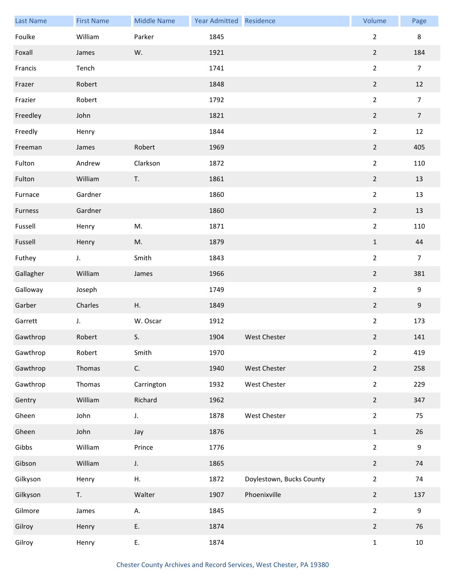| <b>Last Name</b> | <b>First Name</b> | <b>Middle Name</b> | Year Admitted Residence |                          | Volume           | Page           |
|------------------|-------------------|--------------------|-------------------------|--------------------------|------------------|----------------|
| Foulke           | William           | Parker             | 1845                    |                          | $\overline{2}$   | 8              |
| Foxall           | James             | W.                 | 1921                    |                          | $\mathbf 2$      | 184            |
| Francis          | Tench             |                    | 1741                    |                          | $\overline{2}$   | $\overline{7}$ |
| Frazer           | Robert            |                    | 1848                    |                          | $\overline{2}$   | 12             |
| Frazier          | Robert            |                    | 1792                    |                          | $\overline{2}$   | $\overline{7}$ |
| Freedley         | John              |                    | 1821                    |                          | $\overline{2}$   | $\overline{7}$ |
| Freedly          | Henry             |                    | 1844                    |                          | $\overline{2}$   | 12             |
| Freeman          | James             | Robert             | 1969                    |                          | $\overline{2}$   | 405            |
| Fulton           | Andrew            | Clarkson           | 1872                    |                          | $\overline{2}$   | 110            |
| Fulton           | William           | T.                 | 1861                    |                          | $\overline{2}$   | 13             |
| Furnace          | Gardner           |                    | 1860                    |                          | $\overline{2}$   | 13             |
| Furness          | Gardner           |                    | 1860                    |                          | $\overline{2}$   | 13             |
| Fussell          | Henry             | M.                 | 1871                    |                          | $\overline{2}$   | 110            |
| Fussell          | Henry             | M.                 | 1879                    |                          | $\mathbf 1$      | 44             |
| Futhey           | J.                | Smith              | 1843                    |                          | $\overline{2}$   | $\overline{7}$ |
| Gallagher        | William           | James              | 1966                    |                          | $\overline{2}$   | 381            |
| Galloway         | Joseph            |                    | 1749                    |                          | $\overline{2}$   | 9              |
| Garber           | Charles           | Η.                 | 1849                    |                          | $\overline{2}$   | $9\,$          |
| Garrett          | J.                | W. Oscar           | 1912                    |                          | $\overline{2}$   | 173            |
| Gawthrop         | Robert            | S.                 | 1904                    | West Chester             | $\boldsymbol{2}$ | 141            |
| Gawthrop         | Robert            | Smith              | 1970                    |                          | $\overline{2}$   | 419            |
| Gawthrop         | Thomas            | C.                 | 1940                    | West Chester             | $\overline{2}$   | 258            |
| Gawthrop         | Thomas            | Carrington         | 1932                    | West Chester             | $2^{\circ}$      | 229            |
| Gentry           | William           | Richard            | 1962                    |                          | $\overline{2}$   | 347            |
| Gheen            | John              | J.                 | 1878                    | West Chester             | $\overline{2}$   | 75             |
| Gheen            | John              | Jay                | 1876                    |                          | $\mathbf 1$      | 26             |
| Gibbs            | William           | Prince             | 1776                    |                          | $\overline{2}$   | 9              |
| Gibson           | William           | $J_{\star}$        | 1865                    |                          | $\overline{2}$   | 74             |
| Gilkyson         | Henry             | Η.                 | 1872                    | Doylestown, Bucks County | $\overline{2}$   | 74             |
| Gilkyson         | T.                | Walter             | 1907                    | Phoenixville             | $\overline{2}$   | 137            |
| Gilmore          | James             | А.                 | 1845                    |                          | $\overline{2}$   | 9              |
| Gilroy           | Henry             | Ε.                 | 1874                    |                          | $\overline{2}$   | 76             |
| Gilroy           | Henry             | Ε.                 | 1874                    |                          | $\mathbf 1$      | $10\,$         |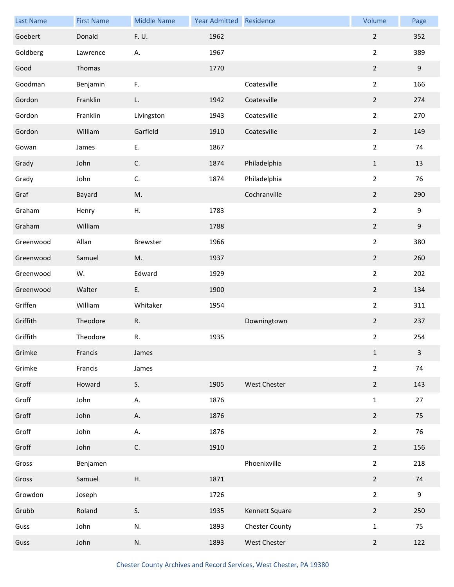| <b>Last Name</b> | <b>First Name</b> | <b>Middle Name</b> | Year Admitted | Residence             | Volume           | Page         |
|------------------|-------------------|--------------------|---------------|-----------------------|------------------|--------------|
| Goebert          | Donald            | F. U.              | 1962          |                       | $\boldsymbol{2}$ | 352          |
| Goldberg         | Lawrence          | А.                 | 1967          |                       | $\overline{2}$   | 389          |
| Good             | Thomas            |                    | 1770          |                       | $\overline{2}$   | $9\,$        |
| Goodman          | Benjamin          | F.                 |               | Coatesville           | $\overline{2}$   | 166          |
| Gordon           | Franklin          | L.                 | 1942          | Coatesville           | $\mathbf 2$      | 274          |
| Gordon           | Franklin          | Livingston         | 1943          | Coatesville           | $\overline{2}$   | 270          |
| Gordon           | William           | Garfield           | 1910          | Coatesville           | $\overline{2}$   | 149          |
| Gowan            | James             | Ε.                 | 1867          |                       | $\overline{2}$   | 74           |
| Grady            | John              | C.                 | 1874          | Philadelphia          | $1\,$            | 13           |
| Grady            | John              | C.                 | 1874          | Philadelphia          | $\overline{2}$   | 76           |
| Graf             | Bayard            | M.                 |               | Cochranville          | $\overline{2}$   | 290          |
| Graham           | Henry             | Η.                 | 1783          |                       | $\overline{2}$   | 9            |
| Graham           | William           |                    | 1788          |                       | $\mathbf 2$      | $9\,$        |
| Greenwood        | Allan             | Brewster           | 1966          |                       | $\overline{2}$   | 380          |
| Greenwood        | Samuel            | M.                 | 1937          |                       | $\overline{2}$   | 260          |
| Greenwood        | W.                | Edward             | 1929          |                       | $\mathbf 2$      | 202          |
| Greenwood        | Walter            | E.                 | 1900          |                       | $\overline{2}$   | 134          |
| Griffen          | William           | Whitaker           | 1954          |                       | $\overline{2}$   | 311          |
| Griffith         | Theodore          | R.                 |               | Downingtown           | $\boldsymbol{2}$ | 237          |
| Griffith         | Theodore          | $\mathsf{R}.$      | 1935          |                       | $\overline{2}$   | 254          |
| Grimke           | Francis           | James              |               |                       | $\mathbf{1}$     | $\mathbf{3}$ |
| Grimke           | Francis           | James              |               |                       | $\overline{2}$   | 74           |
| Groff            | Howard            | S.                 | 1905          | West Chester          | $\overline{2}$   | 143          |
| Groff            | John              | А.                 | 1876          |                       | $\mathbf 1$      | 27           |
| Groff            | John              | А.                 | 1876          |                       | $\overline{2}$   | 75           |
| Groff            | John              | А.                 | 1876          |                       | $\overline{2}$   | 76           |
| Groff            | John              | C.                 | 1910          |                       | $\overline{2}$   | 156          |
| Gross            | Benjamen          |                    |               | Phoenixville          | $\overline{2}$   | 218          |
| Gross            | Samuel            | Η.                 | 1871          |                       | $\overline{2}$   | 74           |
| Growdon          | Joseph            |                    | 1726          |                       | $\overline{2}$   | 9            |
| Grubb            | Roland            | S.                 | 1935          | Kennett Square        | $\overline{2}$   | 250          |
| Guss             | John              | N.                 | 1893          | <b>Chester County</b> | $\mathbf 1$      | 75           |
| Guss             | John              | N.                 | 1893          | West Chester          | $\overline{2}$   | 122          |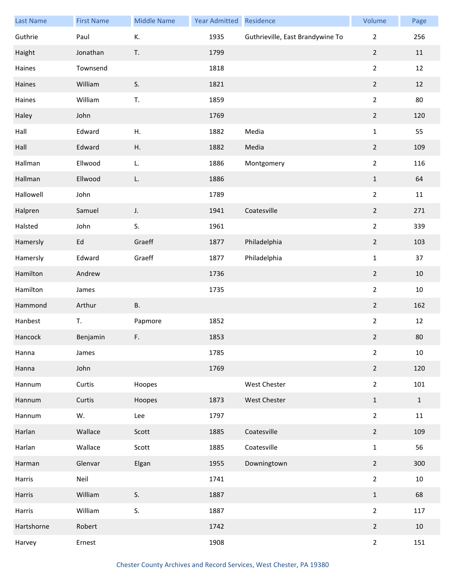| <b>Last Name</b> | <b>First Name</b> | <b>Middle Name</b> | Year Admitted Residence |                                  | Volume         | Page         |
|------------------|-------------------|--------------------|-------------------------|----------------------------------|----------------|--------------|
| Guthrie          | Paul              | К.                 | 1935                    | Guthrieville, East Brandywine To | $\overline{2}$ | 256          |
| Haight           | Jonathan          | T.                 | 1799                    |                                  | $\overline{2}$ | 11           |
| Haines           | Townsend          |                    | 1818                    |                                  | $\overline{2}$ | 12           |
| Haines           | William           | S.                 | 1821                    |                                  | $\overline{2}$ | 12           |
| Haines           | William           | T.                 | 1859                    |                                  | $\overline{2}$ | 80           |
| Haley            | John              |                    | 1769                    |                                  | $\overline{2}$ | 120          |
| Hall             | Edward            | Η.                 | 1882                    | Media                            | $\mathbf{1}$   | 55           |
| Hall             | Edward            | Η.                 | 1882                    | Media                            | $\overline{2}$ | 109          |
| Hallman          | Ellwood           | L.                 | 1886                    | Montgomery                       | $\overline{2}$ | 116          |
| Hallman          | Ellwood           | L.                 | 1886                    |                                  | $\mathbf 1$    | 64           |
| Hallowell        | John              |                    | 1789                    |                                  | $\overline{2}$ | $11\,$       |
| Halpren          | Samuel            | J.                 | 1941                    | Coatesville                      | $\overline{2}$ | 271          |
| Halsted          | John              | S.                 | 1961                    |                                  | $\overline{2}$ | 339          |
| Hamersly         | Ed                | Graeff             | 1877                    | Philadelphia                     | $\overline{2}$ | 103          |
| Hamersly         | Edward            | Graeff             | 1877                    | Philadelphia                     | $\mathbf{1}$   | 37           |
| Hamilton         | Andrew            |                    | 1736                    |                                  | $\overline{2}$ | $10\,$       |
| Hamilton         | James             |                    | 1735                    |                                  | $\overline{2}$ | $10\,$       |
| Hammond          | Arthur            | <b>B.</b>          |                         |                                  | $\overline{2}$ | 162          |
| Hanbest          | T.                | Papmore            | 1852                    |                                  | $\overline{2}$ | 12           |
| Hancock          | Benjamin          | F.                 | 1853                    |                                  | $\overline{2}$ | 80           |
| Hanna            | James             |                    | 1785                    |                                  | $\overline{2}$ | $10\,$       |
| Hanna            | John              |                    | 1769                    |                                  | $\overline{2}$ | 120          |
| Hannum           | Curtis            | Hoopes             |                         | West Chester                     | $\overline{2}$ | 101          |
| Hannum           | Curtis            | Hoopes             | 1873                    | West Chester                     | $\mathbf{1}$   | $\mathbf{1}$ |
| Hannum           | W.                | Lee                | 1797                    |                                  | $\overline{2}$ | $11\,$       |
| Harlan           | Wallace           | Scott              | 1885                    | Coatesville                      | $\overline{2}$ | 109          |
| Harlan           | Wallace           | Scott              | 1885                    | Coatesville                      | $\mathbf{1}$   | 56           |
| Harman           | Glenvar           | Elgan              | 1955                    | Downingtown                      | $\overline{2}$ | 300          |
| Harris           | Neil              |                    | 1741                    |                                  | $\overline{2}$ | 10           |
| Harris           | William           | S.                 | 1887                    |                                  | $\mathbf{1}$   | 68           |
| Harris           | William           | S.                 | 1887                    |                                  | $\overline{2}$ | 117          |
| Hartshorne       | Robert            |                    | 1742                    |                                  | $\overline{2}$ | 10           |
| Harvey           | Ernest            |                    | 1908                    |                                  | $\overline{2}$ | 151          |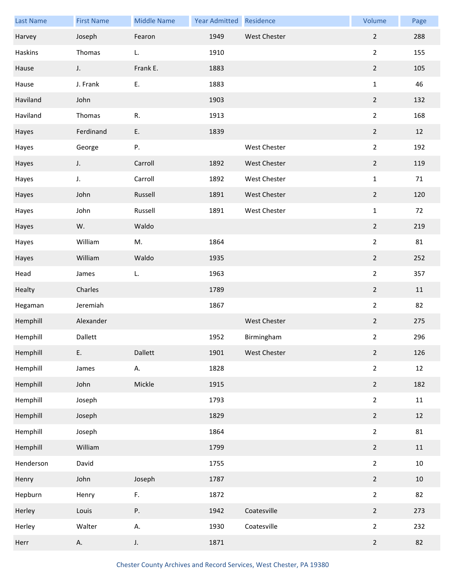| <b>Last Name</b> | <b>First Name</b> | <b>Middle Name</b> | Year Admitted | Residence    | Volume           | Page   |
|------------------|-------------------|--------------------|---------------|--------------|------------------|--------|
| Harvey           | Joseph            | Fearon             | 1949          | West Chester | $\overline{2}$   | 288    |
| Haskins          | Thomas            | L.                 | 1910          |              | $\overline{2}$   | 155    |
| Hause            | J.                | Frank E.           | 1883          |              | $\overline{2}$   | 105    |
| Hause            | J. Frank          | Ε.                 | 1883          |              | $\mathbf 1$      | 46     |
| Haviland         | John              |                    | 1903          |              | $\mathbf 2$      | 132    |
| Haviland         | Thomas            | R.                 | 1913          |              | $\overline{2}$   | 168    |
| Hayes            | Ferdinand         | Ε.                 | 1839          |              | $\overline{2}$   | 12     |
| Hayes            | George            | Ρ.                 |               | West Chester | $\overline{2}$   | 192    |
| Hayes            | J.                | Carroll            | 1892          | West Chester | $\mathbf 2$      | 119    |
| Hayes            | J.                | Carroll            | 1892          | West Chester | $\mathbf 1$      | 71     |
| Hayes            | John              | Russell            | 1891          | West Chester | $\mathbf 2$      | 120    |
| Hayes            | John              | Russell            | 1891          | West Chester | $\mathbf 1$      | 72     |
| Hayes            | W.                | Waldo              |               |              | $\overline{2}$   | 219    |
| Hayes            | William           | M.                 | 1864          |              | $\overline{2}$   | 81     |
| Hayes            | William           | Waldo              | 1935          |              | $\boldsymbol{2}$ | 252    |
| Head             | James             | L.                 | 1963          |              | $\overline{2}$   | 357    |
| Healty           | Charles           |                    | 1789          |              | $\overline{2}$   | 11     |
| Hegaman          | Jeremiah          |                    | 1867          |              | $\overline{2}$   | 82     |
| Hemphill         | Alexander         |                    |               | West Chester | $\mathbf 2$      | 275    |
| Hemphill         | Dallett           |                    | 1952          | Birmingham   | $\overline{2}$   | 296    |
| Hemphill         | Ε.                | Dallett            | 1901          | West Chester | $\overline{2}$   | 126    |
| Hemphill         | James             | А.                 | 1828          |              | $\mathbf 2$      | 12     |
| Hemphill         | John              | Mickle             | 1915          |              | $\overline{2}$   | 182    |
| Hemphill         | Joseph            |                    | 1793          |              | $\overline{2}$   | $11\,$ |
| Hemphill         | Joseph            |                    | 1829          |              | $\mathbf 2$      | 12     |
| Hemphill         | Joseph            |                    | 1864          |              | $\overline{2}$   | 81     |
| Hemphill         | William           |                    | 1799          |              | $\overline{2}$   | 11     |
| Henderson        | David             |                    | 1755          |              | $\overline{2}$   | $10\,$ |
| Henry            | John              | Joseph             | 1787          |              | $\mathbf 2$      | 10     |
| Hepburn          | Henry             | F.                 | 1872          |              | $\mathbf 2$      | 82     |
| Herley           | Louis             | Ρ.                 | 1942          | Coatesville  | $\mathbf 2$      | 273    |
| Herley           | Walter            | А.                 | 1930          | Coatesville  | $\overline{2}$   | 232    |
| Herr             | А.                | $J_{\star}$        | 1871          |              | $\overline{2}$   | 82     |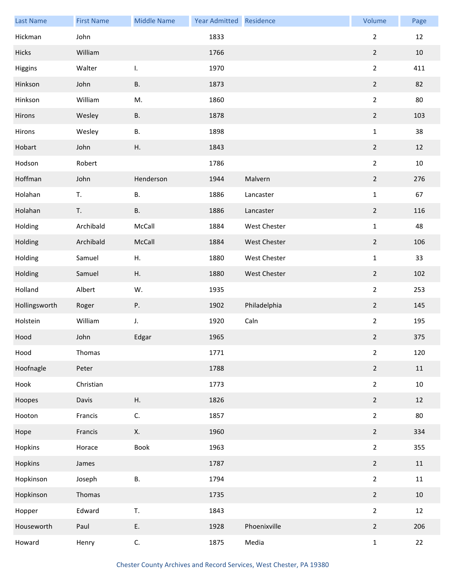| <b>Last Name</b> | <b>First Name</b> | <b>Middle Name</b> | Year Admitted | Residence    | Volume           | Page   |
|------------------|-------------------|--------------------|---------------|--------------|------------------|--------|
| Hickman          | John              |                    | 1833          |              | $\overline{2}$   | 12     |
| Hicks            | William           |                    | 1766          |              | $\mathbf 2$      | 10     |
| Higgins          | Walter            | I.                 | 1970          |              | $\overline{2}$   | 411    |
| Hinkson          | John              | <b>B.</b>          | 1873          |              | $\overline{2}$   | 82     |
| Hinkson          | William           | M.                 | 1860          |              | $\overline{2}$   | 80     |
| Hirons           | Wesley            | <b>B.</b>          | 1878          |              | $\boldsymbol{2}$ | 103    |
| Hirons           | Wesley            | В.                 | 1898          |              | $\mathbf{1}$     | 38     |
| Hobart           | John              | Η.                 | 1843          |              | $\overline{2}$   | 12     |
| Hodson           | Robert            |                    | 1786          |              | $\overline{2}$   | $10\,$ |
| Hoffman          | John              | Henderson          | 1944          | Malvern      | $\mathbf 2$      | 276    |
| Holahan          | T.                | В.                 | 1886          | Lancaster    | $\mathbf 1$      | 67     |
| Holahan          | T.                | <b>B.</b>          | 1886          | Lancaster    | $\overline{2}$   | 116    |
| Holding          | Archibald         | McCall             | 1884          | West Chester | $\mathbf 1$      | 48     |
| Holding          | Archibald         | McCall             | 1884          | West Chester | $\mathbf 2$      | 106    |
| Holding          | Samuel            | Η.                 | 1880          | West Chester | $\mathbf 1$      | 33     |
| Holding          | Samuel            | Η.                 | 1880          | West Chester | $\mathbf 2$      | 102    |
| Holland          | Albert            | W.                 | 1935          |              | $\overline{2}$   | 253    |
| Hollingsworth    | Roger             | Ρ.                 | 1902          | Philadelphia | $\overline{2}$   | 145    |
| Holstein         | William           | J.                 | 1920          | Caln         | $\overline{2}$   | 195    |
| Hood             | John              | Edgar              | 1965          |              | $\mathbf 2$      | 375    |
| Hood             | Thomas            |                    | 1771          |              | $\overline{2}$   | 120    |
| Hoofnagle        | Peter             |                    | 1788          |              | $\mathbf 2$      | 11     |
| Hook             | Christian         |                    | 1773          |              | $\overline{2}$   | 10     |
| Hoopes           | Davis             | Η.                 | 1826          |              | $\overline{2}$   | 12     |
| Hooton           | Francis           | C.                 | 1857          |              | $\overline{2}$   | 80     |
| Hope             | Francis           | Х.                 | 1960          |              | $\overline{2}$   | 334    |
| Hopkins          | Horace            | Book               | 1963          |              | $\overline{2}$   | 355    |
| Hopkins          | James             |                    | 1787          |              | $\overline{2}$   | 11     |
| Hopkinson        | Joseph            | В.                 | 1794          |              | $\overline{2}$   | 11     |
| Hopkinson        | Thomas            |                    | 1735          |              | $\overline{2}$   | 10     |
| Hopper           | Edward            | T.                 | 1843          |              | $\overline{2}$   | 12     |
| Houseworth       | Paul              | Ε.                 | 1928          | Phoenixville | $\overline{2}$   | 206    |
| Howard           | Henry             | C.                 | 1875          | Media        | $\mathbf 1$      | 22     |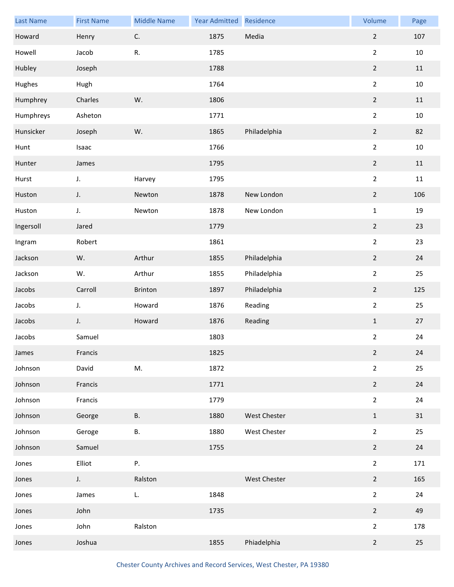| <b>Last Name</b> | <b>First Name</b> | <b>Middle Name</b> | <b>Year Admitted</b> | Residence    | Volume         | Page   |
|------------------|-------------------|--------------------|----------------------|--------------|----------------|--------|
| Howard           | Henry             | $\mathsf{C}.$      | 1875                 | Media        | $\overline{2}$ | 107    |
| Howell           | Jacob             | ${\sf R}.$         | 1785                 |              | $\overline{2}$ | $10\,$ |
| Hubley           | Joseph            |                    | 1788                 |              | $\overline{2}$ | $11\,$ |
| Hughes           | Hugh              |                    | 1764                 |              | $\overline{2}$ | $10\,$ |
| Humphrey         | Charles           | W.                 | 1806                 |              | $\mathbf 2$    | $11\,$ |
| Humphreys        | Asheton           |                    | 1771                 |              | $\overline{2}$ | $10\,$ |
| Hunsicker        | Joseph            | W.                 | 1865                 | Philadelphia | $\overline{2}$ | 82     |
| Hunt             | Isaac             |                    | 1766                 |              | $\overline{2}$ | 10     |
| Hunter           | James             |                    | 1795                 |              | $\mathbf 2$    | 11     |
| Hurst            | J.                | Harvey             | 1795                 |              | $\overline{2}$ | 11     |
| Huston           | J.                | Newton             | 1878                 | New London   | $\mathbf 2$    | 106    |
| Huston           | J.                | Newton             | 1878                 | New London   | $\mathbf 1$    | 19     |
| Ingersoll        | Jared             |                    | 1779                 |              | $\mathbf 2$    | 23     |
| Ingram           | Robert            |                    | 1861                 |              | $\overline{2}$ | 23     |
| Jackson          | W.                | Arthur             | 1855                 | Philadelphia | $\mathbf 2$    | 24     |
| Jackson          | W.                | Arthur             | 1855                 | Philadelphia | $\overline{2}$ | 25     |
| Jacobs           | Carroll           | Brinton            | 1897                 | Philadelphia | $\overline{2}$ | 125    |
| Jacobs           | J.                | Howard             | 1876                 | Reading      | $\overline{2}$ | 25     |
| Jacobs           | J.                | Howard             | 1876                 | Reading      | $\mathbf 1$    | 27     |
| Jacobs           | Samuel            |                    | 1803                 |              | $\overline{2}$ | 24     |
| James            | Francis           |                    | 1825                 |              | $\overline{2}$ | 24     |
| Johnson          | David             | M.                 | 1872                 |              | $\overline{2}$ | 25     |
| Johnson          | Francis           |                    | 1771                 |              | $\overline{2}$ | 24     |
| Johnson          | Francis           |                    | 1779                 |              | $\overline{2}$ | 24     |
| Johnson          | George            | <b>B.</b>          | 1880                 | West Chester | $\mathbf 1$    | 31     |
| Johnson          | Geroge            | В.                 | 1880                 | West Chester | $\overline{2}$ | 25     |
| Johnson          | Samuel            |                    | 1755                 |              | $\overline{2}$ | 24     |
| Jones            | Elliot            | Ρ.                 |                      |              | $\overline{2}$ | 171    |
| Jones            | J.                | Ralston            |                      | West Chester | $\mathbf 2$    | 165    |
| Jones            | James             | L.                 | 1848                 |              | $\overline{2}$ | 24     |
| Jones            | John              |                    | 1735                 |              | $\overline{2}$ | 49     |
| Jones            | John              | Ralston            |                      |              | $\overline{2}$ | 178    |
| Jones            | Joshua            |                    | 1855                 | Phiadelphia  | $\overline{2}$ | 25     |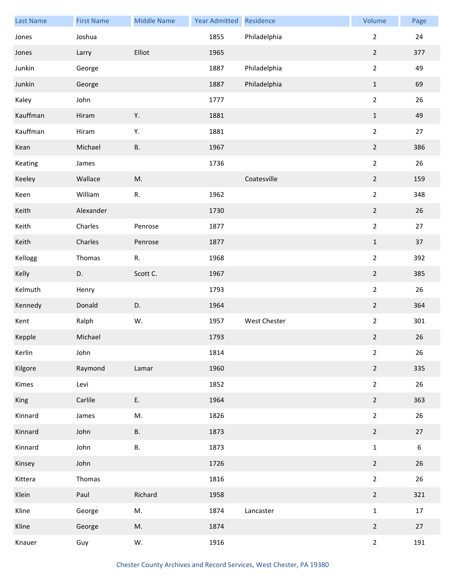| <b>Last Name</b> | <b>First Name</b> | <b>Middle Name</b> | Year Admitted | Residence           | Volume         | Page             |
|------------------|-------------------|--------------------|---------------|---------------------|----------------|------------------|
| Jones            | Joshua            |                    | 1855          | Philadelphia        | $\overline{2}$ | 24               |
| Jones            | Larry             | Elliot             | 1965          |                     | $\overline{2}$ | 377              |
| Junkin           | George            |                    | 1887          | Philadelphia        | $\overline{2}$ | 49               |
| Junkin           | George            |                    | 1887          | Philadelphia        | $\mathbf 1$    | 69               |
| Kaley            | John              |                    | 1777          |                     | $\overline{2}$ | 26               |
| Kauffman         | Hiram             | Υ.                 | 1881          |                     | $\mathbf{1}$   | 49               |
| Kauffman         | Hiram             | Υ.                 | 1881          |                     | $\overline{2}$ | 27               |
| Kean             | Michael           | <b>B.</b>          | 1967          |                     | $\overline{2}$ | 386              |
| Keating          | James             |                    | 1736          |                     | $\overline{2}$ | 26               |
| Keeley           | Wallace           | M.                 |               | Coatesville         | $\overline{2}$ | 159              |
| Keen             | William           | ${\sf R}.$         | 1962          |                     | $\overline{2}$ | 348              |
| Keith            | Alexander         |                    | 1730          |                     | $\overline{2}$ | 26               |
| Keith            | Charles           | Penrose            | 1877          |                     | $\overline{a}$ | 27               |
| Keith            | Charles           | Penrose            | 1877          |                     | $\mathbf 1$    | 37               |
| Kellogg          | Thomas            | ${\sf R}.$         | 1968          |                     | $\overline{a}$ | 392              |
| Kelly            | D.                | Scott C.           | 1967          |                     | $\overline{2}$ | 385              |
| Kelmuth          | Henry             |                    | 1793          |                     | $\overline{2}$ | 26               |
| Kennedy          | Donald            | D.                 | 1964          |                     | $\overline{2}$ | 364              |
| Kent             | Ralph             | W.                 | 1957          | <b>West Chester</b> | $\overline{a}$ | 301              |
| Kepple           | Michael           |                    | 1793          |                     | $\overline{2}$ | 26               |
| Kerlin           | John              |                    | 1814          |                     | $\overline{2}$ | 26               |
| Kilgore          | Raymond           | Lamar              | 1960          |                     | $\overline{2}$ | 335              |
| Kimes            | Levi              |                    | 1852          |                     | $\overline{2}$ | 26               |
| King             | Carlile           | Ε.                 | 1964          |                     | $\overline{2}$ | 363              |
| Kinnard          | James             | M.                 | 1826          |                     | $\overline{2}$ | 26               |
| Kinnard          | John              | В.                 | 1873          |                     | $\overline{2}$ | 27               |
| Kinnard          | John              | В.                 | 1873          |                     | $\mathbf{1}$   | $\boldsymbol{6}$ |
| Kinsey           | John              |                    | 1726          |                     | $\overline{2}$ | 26               |
| Kittera          | Thomas            |                    | 1816          |                     | $\overline{2}$ | 26               |
| Klein            | Paul              | Richard            | 1958          |                     | $\overline{2}$ | 321              |
| Kline            | George            | M.                 | 1874          | Lancaster           | $\mathbf{1}$   | 17               |
| Kline            | George            | M.                 | 1874          |                     | $\overline{2}$ | 27               |
| Knauer           | Guy               | W.                 | 1916          |                     | $\overline{2}$ | 191              |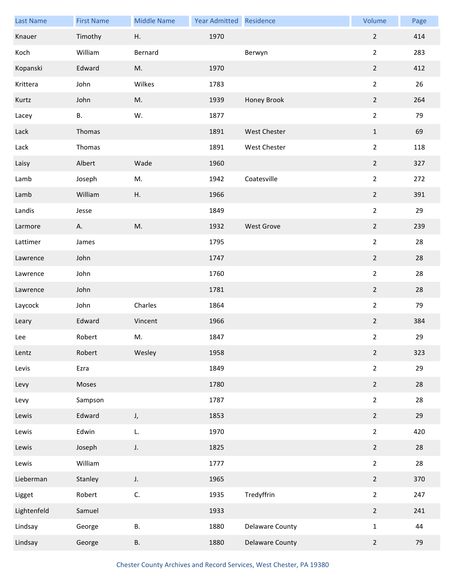| <b>Last Name</b> | <b>First Name</b> | <b>Middle Name</b> | Year Admitted Residence |                   | Volume           | Page |
|------------------|-------------------|--------------------|-------------------------|-------------------|------------------|------|
| Knauer           | Timothy           | Η.                 | 1970                    |                   | $\overline{2}$   | 414  |
| Koch             | William           | Bernard            |                         | Berwyn            | $\overline{2}$   | 283  |
| Kopanski         | Edward            | M.                 | 1970                    |                   | $\overline{2}$   | 412  |
| Krittera         | John              | Wilkes             | 1783                    |                   | $\overline{2}$   | 26   |
| Kurtz            | John              | M.                 | 1939                    | Honey Brook       | $\mathbf 2$      | 264  |
| Lacey            | В.                | W.                 | 1877                    |                   | $\overline{2}$   | 79   |
| Lack             | Thomas            |                    | 1891                    | West Chester      | $\mathbf{1}$     | 69   |
| Lack             | Thomas            |                    | 1891                    | West Chester      | $\overline{2}$   | 118  |
| Laisy            | Albert            | Wade               | 1960                    |                   | $\mathbf 2$      | 327  |
| Lamb             | Joseph            | M.                 | 1942                    | Coatesville       | $\overline{2}$   | 272  |
| Lamb             | William           | Η.                 | 1966                    |                   | $\overline{2}$   | 391  |
| Landis           | Jesse             |                    | 1849                    |                   | $\overline{2}$   | 29   |
| Larmore          | Α.                | M.                 | 1932                    | <b>West Grove</b> | $\overline{2}$   | 239  |
| Lattimer         | James             |                    | 1795                    |                   | $\overline{2}$   | 28   |
| Lawrence         | John              |                    | 1747                    |                   | $\overline{2}$   | 28   |
| Lawrence         | John              |                    | 1760                    |                   | $\overline{2}$   | 28   |
| Lawrence         | John              |                    | 1781                    |                   | $\overline{2}$   | 28   |
| Laycock          | John              | Charles            | 1864                    |                   | $\overline{2}$   | 79   |
| Leary            | Edward            | Vincent            | 1966                    |                   | $\boldsymbol{2}$ | 384  |
| Lee              | Robert            | M.                 | 1847                    |                   | $\overline{2}$   | 29   |
| Lentz            | Robert            | Wesley             | 1958                    |                   | $\overline{2}$   | 323  |
| Levis            | Ezra              |                    | 1849                    |                   | $\overline{2}$   | 29   |
| Levy             | Moses             |                    | 1780                    |                   | $\overline{2}$   | 28   |
| Levy             | Sampson           |                    | 1787                    |                   | $\overline{2}$   | 28   |
| Lewis            | Edward            | J,                 | 1853                    |                   | $\overline{2}$   | 29   |
| Lewis            | Edwin             | L.                 | 1970                    |                   | $\overline{2}$   | 420  |
| Lewis            | Joseph            | $\mathsf J.$       | 1825                    |                   | $\overline{2}$   | 28   |
| Lewis            | William           |                    | 1777                    |                   | $\overline{2}$   | 28   |
| Lieberman        | Stanley           | J.                 | 1965                    |                   | $\overline{2}$   | 370  |
| Ligget           | Robert            | C.                 | 1935                    | Tredyffrin        | $\overline{2}$   | 247  |
| Lightenfeld      | Samuel            |                    | 1933                    |                   | $\overline{2}$   | 241  |
| Lindsay          | George            | В.                 | 1880                    | Delaware County   | $\mathbf 1$      | 44   |
| Lindsay          | George            | В.                 | 1880                    | Delaware County   | $\overline{2}$   | 79   |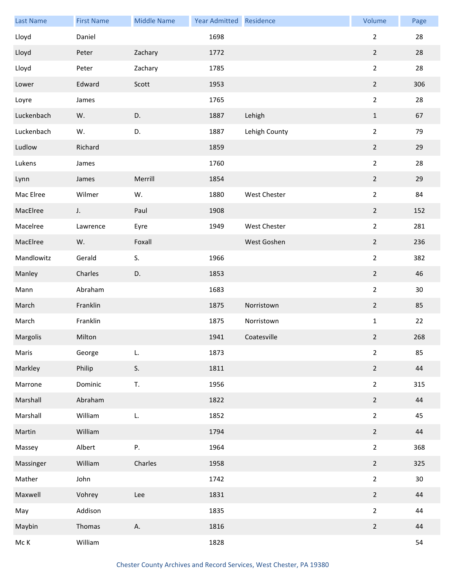| <b>Last Name</b>   | <b>First Name</b> | <b>Middle Name</b> | Year Admitted Residence |               | Volume         | Page |
|--------------------|-------------------|--------------------|-------------------------|---------------|----------------|------|
| Lloyd              | Daniel            |                    | 1698                    |               | $\overline{2}$ | 28   |
| Lloyd              | Peter             | Zachary            | 1772                    |               | $\overline{2}$ | 28   |
| Lloyd              | Peter             | Zachary            | 1785                    |               | $\overline{2}$ | 28   |
| Lower              | Edward            | Scott              | 1953                    |               | $\overline{2}$ | 306  |
| Loyre              | James             |                    | 1765                    |               | $\overline{2}$ | 28   |
| Luckenbach         | W.                | D.                 | 1887                    | Lehigh        | $\mathbf{1}$   | 67   |
| Luckenbach         | W.                | D.                 | 1887                    | Lehigh County | $\overline{2}$ | 79   |
| Ludlow             | Richard           |                    | 1859                    |               | $\overline{2}$ | 29   |
| Lukens             | James             |                    | 1760                    |               | $\overline{2}$ | 28   |
| Lynn               | James             | Merrill            | 1854                    |               | $\overline{2}$ | 29   |
| Mac Elree          | Wilmer            | W.                 | 1880                    | West Chester  | $\overline{2}$ | 84   |
| MacElree           | J.                | Paul               | 1908                    |               | $\overline{2}$ | 152  |
| Macelree           | Lawrence          | Eyre               | 1949                    | West Chester  | $\overline{2}$ | 281  |
| MacElree           | W.                | Foxall             |                         | West Goshen   | $\overline{2}$ | 236  |
| Mandlowitz         | Gerald            | S.                 | 1966                    |               | $\overline{2}$ | 382  |
| Manley             | Charles           | D.                 | 1853                    |               | $\overline{2}$ | 46   |
| Mann               | Abraham           |                    | 1683                    |               | $\overline{2}$ | 30   |
| March              | Franklin          |                    | 1875                    | Norristown    | $\overline{2}$ | 85   |
| March              | Franklin          |                    | 1875                    | Norristown    | $\mathbf 1$    | 22   |
| Margolis           | Milton            |                    | 1941                    | Coatesville   | $\overline{2}$ | 268  |
| Maris              | George            | L.                 | 1873                    |               | $\overline{2}$ | 85   |
| Markley            | Philip            | S.                 | 1811                    |               | $\overline{2}$ | 44   |
| Marrone            | Dominic           | T.                 | 1956                    |               | $\overline{2}$ | 315  |
| Marshall           | Abraham           |                    | 1822                    |               | $\overline{2}$ | 44   |
| Marshall           | William           | L.                 | 1852                    |               | $\overline{2}$ | 45   |
| Martin             | William           |                    | 1794                    |               | $\overline{2}$ | 44   |
| Massey             | Albert            | Ρ.                 | 1964                    |               | $\overline{2}$ | 368  |
| Massinger          | William           | Charles            | 1958                    |               | $\overline{2}$ | 325  |
| Mather             | John              |                    | 1742                    |               | $\overline{2}$ | 30   |
| Maxwell            | Vohrey            | Lee                | 1831                    |               | $\overline{2}$ | 44   |
| May                | Addison           |                    | 1835                    |               | $\overline{2}$ | 44   |
| Maybin             | Thomas            | Α.                 | 1816                    |               | $\overline{2}$ | 44   |
| $\sf{Mc}$ $\sf{K}$ | William           |                    | 1828                    |               |                | 54   |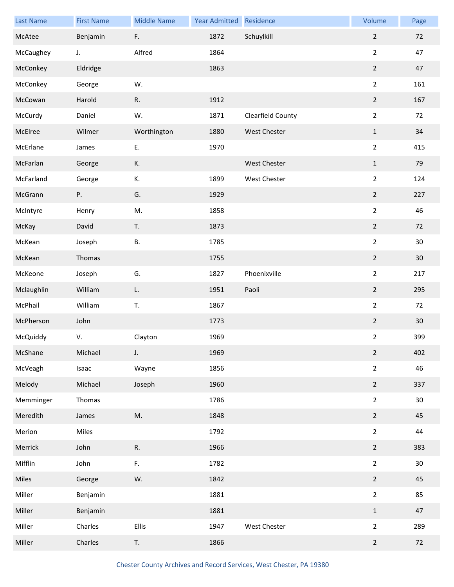| <b>Last Name</b> | <b>First Name</b> | <b>Middle Name</b> | <b>Year Admitted</b> | Residence         | Volume         | Page |
|------------------|-------------------|--------------------|----------------------|-------------------|----------------|------|
| McAtee           | Benjamin          | F.                 | 1872                 | Schuylkill        | $\overline{2}$ | 72   |
| McCaughey        | J.                | Alfred             | 1864                 |                   | $\overline{2}$ | 47   |
| McConkey         | Eldridge          |                    | 1863                 |                   | $\overline{2}$ | 47   |
| McConkey         | George            | W.                 |                      |                   | $\overline{2}$ | 161  |
| McCowan          | Harold            | R.                 | 1912                 |                   | $\mathbf 2$    | 167  |
| McCurdy          | Daniel            | W.                 | 1871                 | Clearfield County | $\overline{2}$ | 72   |
| McElree          | Wilmer            | Worthington        | 1880                 | West Chester      | $\mathbf{1}$   | 34   |
| McErlane         | James             | Ε.                 | 1970                 |                   | $\overline{2}$ | 415  |
| McFarlan         | George            | К.                 |                      | West Chester      | $\mathbf 1$    | 79   |
| McFarland        | George            | К.                 | 1899                 | West Chester      | $\overline{2}$ | 124  |
| McGrann          | Ρ.                | G.                 | 1929                 |                   | $\mathbf 2$    | 227  |
| McIntyre         | Henry             | M.                 | 1858                 |                   | $\overline{2}$ | 46   |
| McKay            | David             | T.                 | 1873                 |                   | $\mathbf 2$    | 72   |
| McKean           | Joseph            | В.                 | 1785                 |                   | $\overline{2}$ | 30   |
| McKean           | Thomas            |                    | 1755                 |                   | $\overline{2}$ | 30   |
| McKeone          | Joseph            | G.                 | 1827                 | Phoenixville      | $\overline{2}$ | 217  |
| Mclaughlin       | William           | L.                 | 1951                 | Paoli             | $\overline{2}$ | 295  |
| McPhail          | William           | T.                 | 1867                 |                   | $\overline{2}$ | 72   |
| McPherson        | John              |                    | 1773                 |                   | $\overline{2}$ | 30   |
| McQuiddy         | V.                | Clayton            | 1969                 |                   | $\overline{2}$ | 399  |
| McShane          | Michael           | J.                 | 1969                 |                   | $\overline{2}$ | 402  |
| McVeagh          | Isaac             | Wayne              | 1856                 |                   | $\overline{2}$ | 46   |
| Melody           | Michael           | Joseph             | 1960                 |                   | $\overline{2}$ | 337  |
| Memminger        | Thomas            |                    | 1786                 |                   | $\overline{2}$ | 30   |
| Meredith         | James             | M.                 | 1848                 |                   | $\overline{2}$ | 45   |
| Merion           | Miles             |                    | 1792                 |                   | $\overline{2}$ | 44   |
| Merrick          | John              | R.                 | 1966                 |                   | $\overline{2}$ | 383  |
| Mifflin          | John              | F.                 | 1782                 |                   | $\overline{2}$ | 30   |
| Miles            | George            | W.                 | 1842                 |                   | $\overline{2}$ | 45   |
| Miller           | Benjamin          |                    | 1881                 |                   | $\overline{2}$ | 85   |
| Miller           | Benjamin          |                    | 1881                 |                   | $\mathbf{1}$   | 47   |
| Miller           | Charles           | Ellis              | 1947                 | West Chester      | $\overline{2}$ | 289  |
| Miller           | Charles           | T.                 | 1866                 |                   | $\overline{2}$ | 72   |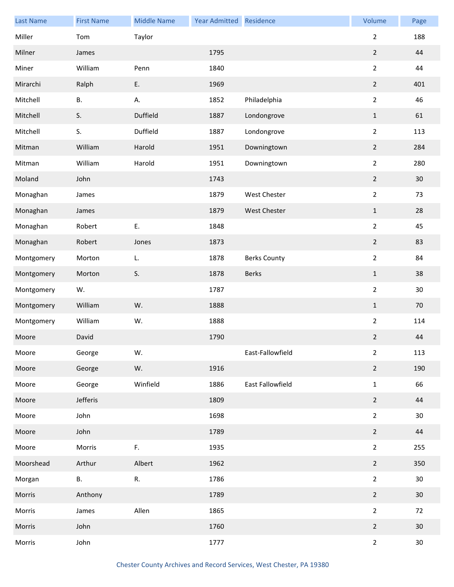| <b>Last Name</b> | <b>First Name</b> | <b>Middle Name</b> | <b>Year Admitted</b> | Residence           | Volume           | Page            |
|------------------|-------------------|--------------------|----------------------|---------------------|------------------|-----------------|
| Miller           | Tom               | Taylor             |                      |                     | $\overline{2}$   | 188             |
| Milner           | James             |                    | 1795                 |                     | $\mathbf 2$      | 44              |
| Miner            | William           | Penn               | 1840                 |                     | $\overline{2}$   | 44              |
| Mirarchi         | Ralph             | Ε.                 | 1969                 |                     | $\mathbf 2$      | 401             |
| Mitchell         | <b>B.</b>         | А.                 | 1852                 | Philadelphia        | $\overline{2}$   | 46              |
| Mitchell         | S.                | Duffield           | 1887                 | Londongrove         | $\mathbf 1$      | 61              |
| Mitchell         | S.                | Duffield           | 1887                 | Londongrove         | $\overline{2}$   | 113             |
| Mitman           | William           | Harold             | 1951                 | Downingtown         | $\overline{2}$   | 284             |
| Mitman           | William           | Harold             | 1951                 | Downingtown         | $\overline{2}$   | 280             |
| Moland           | John              |                    | 1743                 |                     | $\boldsymbol{2}$ | 30              |
| Monaghan         | James             |                    | 1879                 | West Chester        | $\overline{2}$   | 73              |
| Monaghan         | James             |                    | 1879                 | <b>West Chester</b> | $\mathbf 1$      | 28              |
| Monaghan         | Robert            | E.                 | 1848                 |                     | $\overline{2}$   | 45              |
| Monaghan         | Robert            | Jones              | 1873                 |                     | $\mathbf 2$      | 83              |
| Montgomery       | Morton            | L.                 | 1878                 | <b>Berks County</b> | $\overline{2}$   | 84              |
| Montgomery       | Morton            | S.                 | 1878                 | <b>Berks</b>        | $\mathbf 1$      | 38              |
| Montgomery       | W.                |                    | 1787                 |                     | $\overline{2}$   | 30              |
| Montgomery       | William           | W.                 | 1888                 |                     | $\mathbf 1$      | 70              |
| Montgomery       | William           | W.                 | 1888                 |                     | $\overline{2}$   | 114             |
| Moore            | David             |                    | 1790                 |                     | $\mathbf 2$      | 44              |
| Moore            | George            | W.                 |                      | East-Fallowfield    | $\overline{2}$   | 113             |
| Moore            | George            | W.                 | 1916                 |                     | $\overline{2}$   | 190             |
| Moore            | George            | Winfield           | 1886                 | East Fallowfield    | $\mathbf 1$      | 66              |
| Moore            | Jefferis          |                    | 1809                 |                     | $\overline{2}$   | 44              |
| Moore            | John              |                    | 1698                 |                     | $\overline{2}$   | 30              |
| Moore            | John              |                    | 1789                 |                     | $\overline{2}$   | 44              |
| Moore            | Morris            | F.                 | 1935                 |                     | $\overline{2}$   | 255             |
| Moorshead        | Arthur            | Albert             | 1962                 |                     | $\overline{2}$   | 350             |
| Morgan           | В.                | R.                 | 1786                 |                     | $\overline{2}$   | 30              |
| Morris           | Anthony           |                    | 1789                 |                     | $\boldsymbol{2}$ | 30              |
| Morris           | James             | Allen              | 1865                 |                     | $\overline{2}$   | 72              |
| Morris           | John              |                    | 1760                 |                     | $\overline{2}$   | 30              |
| Morris           | John              |                    | 1777                 |                     | $\overline{2}$   | 30 <sub>o</sub> |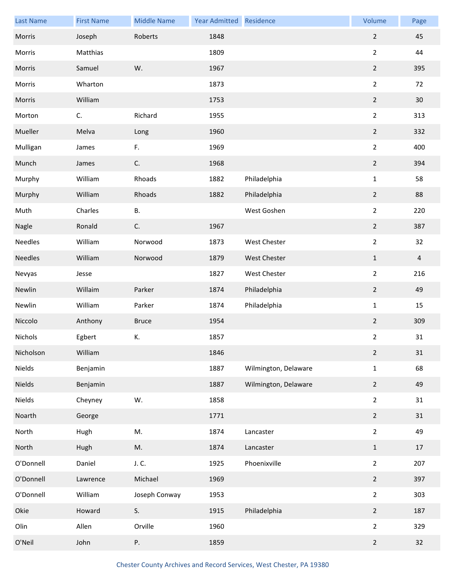| <b>Last Name</b> | <b>First Name</b> | <b>Middle Name</b> | <b>Year Admitted</b> | Residence            | Volume           | Page            |
|------------------|-------------------|--------------------|----------------------|----------------------|------------------|-----------------|
| Morris           | Joseph            | Roberts            | 1848                 |                      | $\mathbf 2$      | 45              |
| Morris           | Matthias          |                    | 1809                 |                      | $\overline{2}$   | 44              |
| Morris           | Samuel            | W.                 | 1967                 |                      | $\overline{2}$   | 395             |
| Morris           | Wharton           |                    | 1873                 |                      | $\overline{2}$   | 72              |
| Morris           | William           |                    | 1753                 |                      | $\mathbf 2$      | 30 <sub>o</sub> |
| Morton           | C.                | Richard            | 1955                 |                      | $\overline{2}$   | 313             |
| Mueller          | Melva             | Long               | 1960                 |                      | $\overline{2}$   | 332             |
| Mulligan         | James             | F.                 | 1969                 |                      | $\overline{2}$   | 400             |
| Munch            | James             | C.                 | 1968                 |                      | $\mathbf 2$      | 394             |
| Murphy           | William           | Rhoads             | 1882                 | Philadelphia         | $\mathbf 1$      | 58              |
| Murphy           | William           | Rhoads             | 1882                 | Philadelphia         | $\overline{2}$   | 88              |
| Muth             | Charles           | В.                 |                      | West Goshen          | $\overline{2}$   | 220             |
| Nagle            | Ronald            | C.                 | 1967                 |                      | $\mathbf 2$      | 387             |
| Needles          | William           | Norwood            | 1873                 | West Chester         | $\overline{2}$   | 32              |
| <b>Needles</b>   | William           | Norwood            | 1879                 | West Chester         | $\mathbf 1$      | $\overline{4}$  |
| Nevyas           | Jesse             |                    | 1827                 | West Chester         | $\overline{2}$   | 216             |
| Newlin           | Willaim           | Parker             | 1874                 | Philadelphia         | $\overline{2}$   | 49              |
| Newlin           | William           | Parker             | 1874                 | Philadelphia         | $\mathbf{1}$     | 15              |
| Niccolo          | Anthony           | <b>Bruce</b>       | 1954                 |                      | $\boldsymbol{2}$ | 309             |
| Nichols          | Egbert            | К.                 | 1857                 |                      | $\overline{a}$   | 31              |
| Nicholson        | William           |                    | 1846                 |                      | $\overline{2}$   | 31              |
| Nields           | Benjamin          |                    | 1887                 | Wilmington, Delaware | $\mathbf 1$      | 68              |
| Nields           | Benjamin          |                    | 1887                 | Wilmington, Delaware | $\overline{2}$   | 49              |
| Nields           | Cheyney           | W.                 | 1858                 |                      | $\overline{2}$   | 31              |
| Noarth           | George            |                    | 1771                 |                      | $\mathbf 2$      | 31              |
| North            | Hugh              | M.                 | 1874                 | Lancaster            | $\overline{2}$   | 49              |
| North            | Hugh              | M.                 | 1874                 | Lancaster            | $\mathbf 1$      | 17              |
| O'Donnell        | Daniel            | J. C.              | 1925                 | Phoenixville         | $\overline{2}$   | 207             |
| O'Donnell        | Lawrence          | Michael            | 1969                 |                      | $\mathbf 2$      | 397             |
| O'Donnell        | William           | Joseph Conway      | 1953                 |                      | $\overline{2}$   | 303             |
| Okie             | Howard            | S.                 | 1915                 | Philadelphia         | $\overline{2}$   | 187             |
| Olin             | Allen             | Orville            | 1960                 |                      | $\overline{2}$   | 329             |
| O'Neil           | John              | Ρ.                 | 1859                 |                      | $\overline{2}$   | 32              |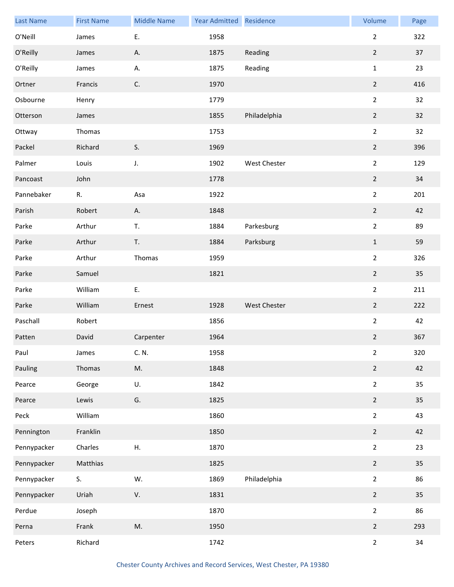| <b>Last Name</b> | <b>First Name</b> | <b>Middle Name</b> | Year Admitted Residence |              | Volume         | Page |
|------------------|-------------------|--------------------|-------------------------|--------------|----------------|------|
| O'Neill          | James             | Ε.                 | 1958                    |              | $\overline{2}$ | 322  |
| O'Reilly         | James             | Α.                 | 1875                    | Reading      | $\overline{2}$ | 37   |
| O'Reilly         | James             | А.                 | 1875                    | Reading      | $\mathbf{1}$   | 23   |
| Ortner           | Francis           | C.                 | 1970                    |              | $\overline{2}$ | 416  |
| Osbourne         | Henry             |                    | 1779                    |              | $\overline{2}$ | 32   |
| Otterson         | James             |                    | 1855                    | Philadelphia | $\sqrt{2}$     | 32   |
| Ottway           | Thomas            |                    | 1753                    |              | $\overline{a}$ | 32   |
| Packel           | Richard           | S.                 | 1969                    |              | $\overline{2}$ | 396  |
| Palmer           | Louis             | J.                 | 1902                    | West Chester | $\overline{2}$ | 129  |
| Pancoast         | John              |                    | 1778                    |              | $\overline{2}$ | 34   |
| Pannebaker       | R.                | Asa                | 1922                    |              | $\overline{2}$ | 201  |
| Parish           | Robert            | А.                 | 1848                    |              | $\overline{2}$ | 42   |
| Parke            | Arthur            | T.                 | 1884                    | Parkesburg   | $\overline{2}$ | 89   |
| Parke            | Arthur            | T.                 | 1884                    | Parksburg    | $\mathbf 1$    | 59   |
| Parke            | Arthur            | Thomas             | 1959                    |              | $\overline{a}$ | 326  |
| Parke            | Samuel            |                    | 1821                    |              | $\overline{2}$ | 35   |
| Parke            | William           | Ε.                 |                         |              | $\overline{a}$ | 211  |
| Parke            | William           | Ernest             | 1928                    | West Chester | $\overline{2}$ | 222  |
| Paschall         | Robert            |                    | 1856                    |              | $\overline{a}$ | 42   |
| Patten           | David             | Carpenter          | 1964                    |              | $\overline{2}$ | 367  |
| Paul             | James             | C. N.              | 1958                    |              | $\overline{2}$ | 320  |
| Pauling          | Thomas            | M.                 | 1848                    |              | $\overline{2}$ | 42   |
| Pearce           | George            | U.                 | 1842                    |              | $\overline{2}$ | 35   |
| Pearce           | Lewis             | G.                 | 1825                    |              | $\overline{2}$ | 35   |
| Peck             | William           |                    | 1860                    |              | $\overline{2}$ | 43   |
| Pennington       | Franklin          |                    | 1850                    |              | $\overline{2}$ | 42   |
| Pennypacker      | Charles           | Η.                 | 1870                    |              | $\overline{2}$ | 23   |
| Pennypacker      | Matthias          |                    | 1825                    |              | $2^{\circ}$    | 35   |
| Pennypacker      | S.                | W.                 | 1869                    | Philadelphia | $\overline{2}$ | 86   |
| Pennypacker      | Uriah             | V.                 | 1831                    |              | $\overline{2}$ | 35   |
| Perdue           | Joseph            |                    | 1870                    |              | $\overline{2}$ | 86   |
| Perna            | Frank             | M.                 | 1950                    |              | $\overline{2}$ | 293  |
| Peters           | Richard           |                    | 1742                    |              | $\overline{2}$ | 34   |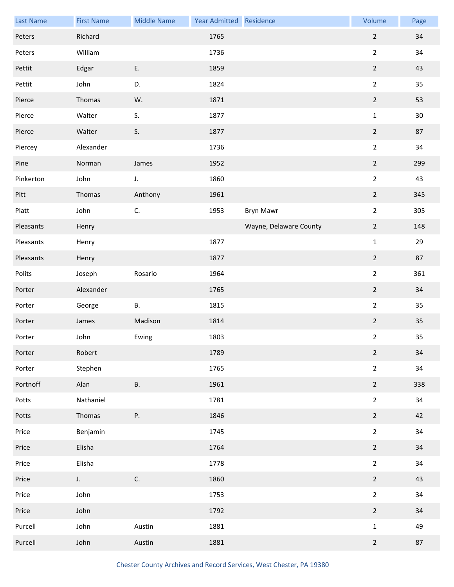| <b>Last Name</b> | <b>First Name</b> | <b>Middle Name</b> | Year Admitted Residence |                        | Volume         | Page |
|------------------|-------------------|--------------------|-------------------------|------------------------|----------------|------|
| Peters           | Richard           |                    | 1765                    |                        | $\overline{2}$ | 34   |
| Peters           | William           |                    | 1736                    |                        | $\overline{2}$ | 34   |
| Pettit           | Edgar             | E.                 | 1859                    |                        | $\overline{2}$ | 43   |
| Pettit           | John              | D.                 | 1824                    |                        | $\overline{2}$ | 35   |
| Pierce           | Thomas            | W.                 | 1871                    |                        | $\overline{2}$ | 53   |
| Pierce           | Walter            | S.                 | 1877                    |                        | $\mathbf 1$    | 30   |
| Pierce           | Walter            | S.                 | 1877                    |                        | $\overline{2}$ | 87   |
| Piercey          | Alexander         |                    | 1736                    |                        | $\overline{2}$ | 34   |
| Pine             | Norman            | James              | 1952                    |                        | $\mathbf 2$    | 299  |
| Pinkerton        | John              | J.                 | 1860                    |                        | $\overline{2}$ | 43   |
| Pitt             | Thomas            | Anthony            | 1961                    |                        | $\overline{2}$ | 345  |
| Platt            | John              | C.                 | 1953                    | <b>Bryn Mawr</b>       | $\overline{2}$ | 305  |
| Pleasants        | Henry             |                    |                         | Wayne, Delaware County | $\overline{2}$ | 148  |
| Pleasants        | Henry             |                    | 1877                    |                        | $\mathbf 1$    | 29   |
| Pleasants        | Henry             |                    | 1877                    |                        | $\overline{2}$ | 87   |
| Polits           | Joseph            | Rosario            | 1964                    |                        | $\overline{2}$ | 361  |
| Porter           | Alexander         |                    | 1765                    |                        | $\overline{2}$ | 34   |
| Porter           | George            | В.                 | 1815                    |                        | $\overline{2}$ | 35   |
| Porter           | James             | Madison            | 1814                    |                        | $\overline{2}$ | 35   |
| Porter           | John              | Ewing              | 1803                    |                        | $\overline{2}$ | 35   |
| Porter           | Robert            |                    | 1789                    |                        | $\overline{2}$ | 34   |
| Porter           | Stephen           |                    | 1765                    |                        | $\overline{2}$ | 34   |
| Portnoff         | Alan              | В.                 | 1961                    |                        | $\overline{2}$ | 338  |
| Potts            | Nathaniel         |                    | 1781                    |                        | $\overline{2}$ | 34   |
| Potts            | Thomas            | Ρ.                 | 1846                    |                        | $\overline{2}$ | 42   |
| Price            | Benjamin          |                    | 1745                    |                        | $\overline{2}$ | 34   |
| Price            | Elisha            |                    | 1764                    |                        | $\overline{2}$ | 34   |
| Price            | Elisha            |                    | 1778                    |                        | $\overline{2}$ | 34   |
| Price            | $J_{+}$           | C.                 | 1860                    |                        | $\overline{2}$ | 43   |
| Price            | John              |                    | 1753                    |                        | $\overline{2}$ | 34   |
| Price            | John              |                    | 1792                    |                        | $\overline{2}$ | 34   |
| Purcell          | John              | Austin             | 1881                    |                        | $\mathbf 1$    | 49   |
| Purcell          | John              | Austin             | 1881                    |                        | $\overline{2}$ | 87   |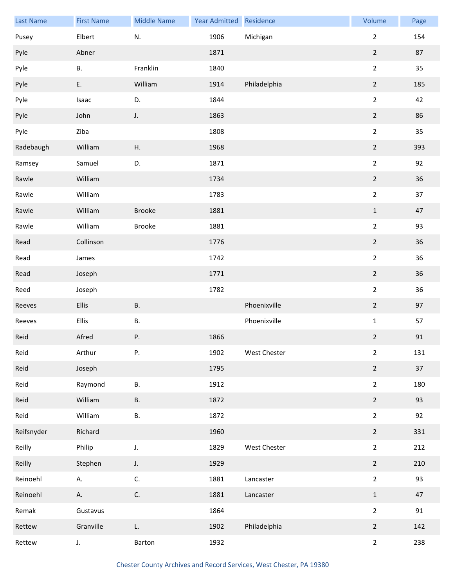| <b>Last Name</b> | <b>First Name</b> | <b>Middle Name</b> | Year Admitted Residence |              | Volume         | Page |
|------------------|-------------------|--------------------|-------------------------|--------------|----------------|------|
| Pusey            | Elbert            | N.                 | 1906                    | Michigan     | $\overline{2}$ | 154  |
| Pyle             | Abner             |                    | 1871                    |              | $\overline{2}$ | 87   |
| Pyle             | <b>B.</b>         | Franklin           | 1840                    |              | $\overline{2}$ | 35   |
| Pyle             | E.                | William            | 1914                    | Philadelphia | $\overline{2}$ | 185  |
| Pyle             | Isaac             | D.                 | 1844                    |              | $\overline{2}$ | 42   |
| Pyle             | John              | J.                 | 1863                    |              | $\overline{2}$ | 86   |
| Pyle             | Ziba              |                    | 1808                    |              | $\overline{2}$ | 35   |
| Radebaugh        | William           | Η.                 | 1968                    |              | $\overline{2}$ | 393  |
| Ramsey           | Samuel            | D.                 | 1871                    |              | $\overline{2}$ | 92   |
| Rawle            | William           |                    | 1734                    |              | $\overline{2}$ | 36   |
| Rawle            | William           |                    | 1783                    |              | $\overline{2}$ | 37   |
| Rawle            | William           | <b>Brooke</b>      | 1881                    |              | $\mathbf{1}$   | 47   |
| Rawle            | William           | <b>Brooke</b>      | 1881                    |              | $\overline{2}$ | 93   |
| Read             | Collinson         |                    | 1776                    |              | $\overline{2}$ | 36   |
| Read             | James             |                    | 1742                    |              | $\overline{2}$ | 36   |
| Read             | Joseph            |                    | 1771                    |              | $\overline{2}$ | 36   |
| Reed             | Joseph            |                    | 1782                    |              | $\overline{2}$ | 36   |
| Reeves           | Ellis             | <b>B.</b>          |                         | Phoenixville | $\overline{2}$ | 97   |
| Reeves           | Ellis             | В.                 |                         | Phoenixville | $\mathbf 1$    | 57   |
| Reid             | Afred             | Ρ.                 | 1866                    |              | $\overline{2}$ | 91   |
| Reid             | Arthur            | Ρ.                 | 1902                    | West Chester | $\overline{2}$ | 131  |
| Reid             | Joseph            |                    | 1795                    |              | $\overline{2}$ | 37   |
| Reid             | Raymond           | В.                 | 1912                    |              | $\overline{2}$ | 180  |
| Reid             | William           | <b>B.</b>          | 1872                    |              | $\overline{2}$ | 93   |
| Reid             | William           | В.                 | 1872                    |              | $\overline{2}$ | 92   |
| Reifsnyder       | Richard           |                    | 1960                    |              | $\overline{2}$ | 331  |
| Reilly           | Philip            | J.                 | 1829                    | West Chester | $\overline{2}$ | 212  |
| Reilly           | Stephen           | J.                 | 1929                    |              | $\overline{2}$ | 210  |
| Reinoehl         | А.                | C.                 | 1881                    | Lancaster    | $\overline{2}$ | 93   |
| Reinoehl         | Α.                | C.                 | 1881                    | Lancaster    | $\mathbf{1}$   | 47   |
| Remak            | Gustavus          |                    | 1864                    |              | $\overline{2}$ | 91   |
| Rettew           | Granville         | L.                 | 1902                    | Philadelphia | $\overline{2}$ | 142  |
| Rettew           | J.                | Barton             | 1932                    |              | $\overline{2}$ | 238  |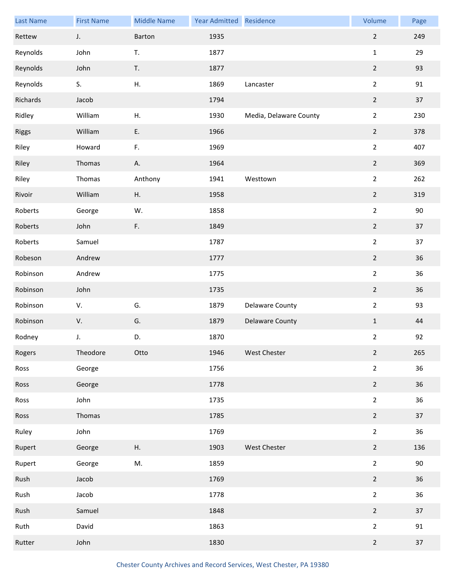| <b>Last Name</b> | <b>First Name</b> | <b>Middle Name</b> | Year Admitted Residence |                        | Volume           | Page |
|------------------|-------------------|--------------------|-------------------------|------------------------|------------------|------|
| Rettew           | J.                | Barton             | 1935                    |                        | $\overline{2}$   | 249  |
| Reynolds         | John              | T.                 | 1877                    |                        | $\mathbf 1$      | 29   |
| Reynolds         | John              | T.                 | 1877                    |                        | $\overline{2}$   | 93   |
| Reynolds         | S.                | Η.                 | 1869                    | Lancaster              | $\overline{2}$   | 91   |
| Richards         | Jacob             |                    | 1794                    |                        | $\mathbf 2$      | 37   |
| Ridley           | William           | Η.                 | 1930                    | Media, Delaware County | $\overline{2}$   | 230  |
| <b>Riggs</b>     | William           | E.                 | 1966                    |                        | $\overline{2}$   | 378  |
| Riley            | Howard            | F.                 | 1969                    |                        | $\overline{2}$   | 407  |
| Riley            | Thomas            | Α.                 | 1964                    |                        | $\mathbf 2$      | 369  |
| Riley            | Thomas            | Anthony            | 1941                    | Westtown               | $\overline{2}$   | 262  |
| Rivoir           | William           | Η.                 | 1958                    |                        | $\mathbf 2$      | 319  |
| Roberts          | George            | W.                 | 1858                    |                        | $\overline{2}$   | 90   |
| Roberts          | John              | F.                 | 1849                    |                        | $\overline{2}$   | 37   |
| Roberts          | Samuel            |                    | 1787                    |                        | $\overline{2}$   | 37   |
| Robeson          | Andrew            |                    | 1777                    |                        | $\boldsymbol{2}$ | 36   |
| Robinson         | Andrew            |                    | 1775                    |                        | $\overline{2}$   | 36   |
| Robinson         | John              |                    | 1735                    |                        | $\overline{2}$   | 36   |
| Robinson         | V.                | G.                 | 1879                    | Delaware County        | $\overline{2}$   | 93   |
| Robinson         | V.                | G.                 | 1879                    | Delaware County        | $\mathbf 1$      | 44   |
| Rodney           | J.                | D.                 | 1870                    |                        | $\overline{2}$   | 92   |
| Rogers           | Theodore          | Otto               | 1946                    | West Chester           | $\overline{2}$   | 265  |
| Ross             | George            |                    | 1756                    |                        | $\overline{2}$   | 36   |
| Ross             | George            |                    | 1778                    |                        | $\overline{2}$   | 36   |
| Ross             | John              |                    | 1735                    |                        | $\overline{2}$   | 36   |
| Ross             | Thomas            |                    | 1785                    |                        | $\overline{2}$   | 37   |
| Ruley            | John              |                    | 1769                    |                        | $\overline{2}$   | 36   |
| Rupert           | George            | Η.                 | 1903                    | West Chester           | $\overline{2}$   | 136  |
| Rupert           | George            | M.                 | 1859                    |                        | $\overline{2}$   | 90   |
| Rush             | Jacob             |                    | 1769                    |                        | $\overline{2}$   | 36   |
| Rush             | Jacob             |                    | 1778                    |                        | $\overline{2}$   | 36   |
| Rush             | Samuel            |                    | 1848                    |                        | $\overline{2}$   | 37   |
| Ruth             | David             |                    | 1863                    |                        | $\overline{2}$   | 91   |
| Rutter           | John              |                    | 1830                    |                        | $\overline{2}$   | 37   |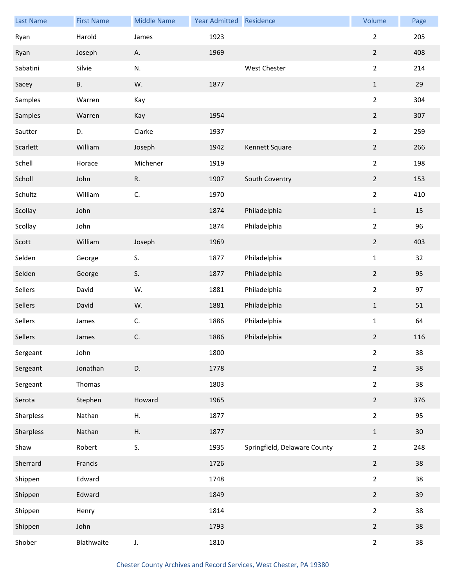| <b>Last Name</b> | <b>First Name</b> | <b>Middle Name</b> | Year Admitted Residence |                              | Volume         | Page   |
|------------------|-------------------|--------------------|-------------------------|------------------------------|----------------|--------|
| Ryan             | Harold            | James              | 1923                    |                              | $\overline{2}$ | 205    |
| Ryan             | Joseph            | А.                 | 1969                    |                              | $\overline{2}$ | 408    |
| Sabatini         | Silvie            | N.                 |                         | West Chester                 | $\overline{2}$ | 214    |
| Sacey            | <b>B.</b>         | W.                 | 1877                    |                              | $\mathbf{1}$   | 29     |
| Samples          | Warren            | Kay                |                         |                              | $\overline{2}$ | 304    |
| Samples          | Warren            | Kay                | 1954                    |                              | $\overline{2}$ | 307    |
| Sautter          | D.                | Clarke             | 1937                    |                              | $\overline{2}$ | 259    |
| Scarlett         | William           | Joseph             | 1942                    | Kennett Square               | $\overline{2}$ | 266    |
| Schell           | Horace            | Michener           | 1919                    |                              | $\overline{2}$ | 198    |
| Scholl           | John              | ${\sf R}.$         | 1907                    | South Coventry               | $\overline{2}$ | 153    |
| Schultz          | William           | C.                 | 1970                    |                              | $\overline{2}$ | 410    |
| Scollay          | John              |                    | 1874                    | Philadelphia                 | $\,1\,$        | 15     |
| Scollay          | John              |                    | 1874                    | Philadelphia                 | $\overline{2}$ | 96     |
| Scott            | William           | Joseph             | 1969                    |                              | $\overline{2}$ | 403    |
| Selden           | George            | S.                 | 1877                    | Philadelphia                 | $\mathbf 1$    | 32     |
| Selden           | George            | S.                 | 1877                    | Philadelphia                 | $\overline{2}$ | 95     |
| Sellers          | David             | W.                 | 1881                    | Philadelphia                 | $\overline{2}$ | 97     |
| Sellers          | David             | W.                 | 1881                    | Philadelphia                 | $\mathbf{1}$   | 51     |
| Sellers          | James             | C.                 | 1886                    | Philadelphia                 | $\mathbf 1$    | 64     |
| Sellers          | James             | $\mathsf{C}.$      | 1886                    | Philadelphia                 | $\overline{2}$ | 116    |
| Sergeant         | John              |                    | 1800                    |                              | $\overline{2}$ | 38     |
| Sergeant         | Jonathan          | D.                 | 1778                    |                              | $\overline{2}$ | 38     |
| Sergeant         | Thomas            |                    | 1803                    |                              | $\overline{2}$ | 38     |
| Serota           | Stephen           | Howard             | 1965                    |                              | $\overline{2}$ | 376    |
| Sharpless        | Nathan            | Η.                 | 1877                    |                              | $\overline{2}$ | 95     |
| Sharpless        | Nathan            | Η.                 | 1877                    |                              | $\mathbf{1}$   | $30\,$ |
| Shaw             | Robert            | S.                 | 1935                    | Springfield, Delaware County | $\overline{2}$ | 248    |
| Sherrard         | Francis           |                    | 1726                    |                              | $\overline{2}$ | 38     |
| Shippen          | Edward            |                    | 1748                    |                              | $\overline{2}$ | 38     |
| Shippen          | Edward            |                    | 1849                    |                              | $\overline{2}$ | 39     |
| Shippen          | Henry             |                    | 1814                    |                              | $\overline{2}$ | 38     |
| Shippen          | John              |                    | 1793                    |                              | $\overline{2}$ | 38     |
| Shober           | Blathwaite        | J.                 | 1810                    |                              | $\overline{2}$ | 38     |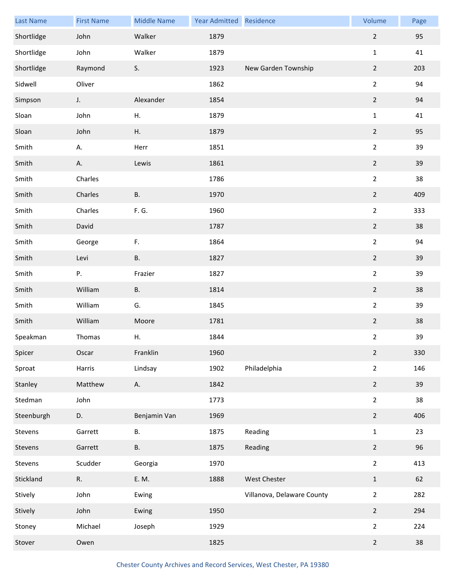| <b>Last Name</b> | <b>First Name</b> | <b>Middle Name</b> | Year Admitted | Residence                  | Volume           | Page |
|------------------|-------------------|--------------------|---------------|----------------------------|------------------|------|
| Shortlidge       | John              | Walker             | 1879          |                            | $\overline{2}$   | 95   |
| Shortlidge       | John              | Walker             | 1879          |                            | $\mathbf{1}$     | 41   |
| Shortlidge       | Raymond           | S.                 | 1923          | New Garden Township        | $\overline{2}$   | 203  |
| Sidwell          | Oliver            |                    | 1862          |                            | $\overline{2}$   | 94   |
| Simpson          | J.                | Alexander          | 1854          |                            | $\mathbf 2$      | 94   |
| Sloan            | John              | Η.                 | 1879          |                            | $\mathbf 1$      | 41   |
| Sloan            | John              | Η.                 | 1879          |                            | $\overline{2}$   | 95   |
| Smith            | А.                | Herr               | 1851          |                            | $\overline{2}$   | 39   |
| Smith            | А.                | Lewis              | 1861          |                            | $\mathbf 2$      | 39   |
| Smith            | Charles           |                    | 1786          |                            | $\overline{2}$   | 38   |
| Smith            | Charles           | <b>B.</b>          | 1970          |                            | $\overline{2}$   | 409  |
| Smith            | Charles           | F. G.              | 1960          |                            | $\overline{2}$   | 333  |
| Smith            | David             |                    | 1787          |                            | $\overline{2}$   | 38   |
| Smith            | George            | F.                 | 1864          |                            | $\overline{2}$   | 94   |
| Smith            | Levi              | <b>B.</b>          | 1827          |                            | $\mathbf 2$      | 39   |
| Smith            | Ρ.                | Frazier            | 1827          |                            | $\mathbf 2$      | 39   |
| Smith            | William           | <b>B.</b>          | 1814          |                            | $\overline{2}$   | 38   |
| Smith            | William           | G.                 | 1845          |                            | $\overline{2}$   | 39   |
| Smith            | William           | Moore              | 1781          |                            | $\boldsymbol{2}$ | 38   |
| Speakman         | Thomas            | Η.                 | 1844          |                            | $\overline{a}$   | 39   |
| Spicer           | Oscar             | Franklin           | 1960          |                            | $\overline{2}$   | 330  |
| Sproat           | Harris            | Lindsay            | 1902          | Philadelphia               | $\overline{2}$   | 146  |
| Stanley          | Matthew           | А.                 | 1842          |                            | $\overline{2}$   | 39   |
| Stedman          | John              |                    | 1773          |                            | $\overline{2}$   | 38   |
| Steenburgh       | D.                | Benjamin Van       | 1969          |                            | $\mathbf 2$      | 406  |
| Stevens          | Garrett           | В.                 | 1875          | Reading                    | $\mathbf{1}$     | 23   |
| Stevens          | Garrett           | <b>B.</b>          | 1875          | Reading                    | $\overline{2}$   | 96   |
| Stevens          | Scudder           | Georgia            | 1970          |                            | $\overline{2}$   | 413  |
| Stickland        | R.                | E. M.              | 1888          | West Chester               | $\mathbf 1$      | 62   |
| Stively          | John              | Ewing              |               | Villanova, Delaware County | $\overline{2}$   | 282  |
| Stively          | John              | Ewing              | 1950          |                            | $\overline{2}$   | 294  |
| Stoney           | Michael           | Joseph             | 1929          |                            | $\overline{2}$   | 224  |
| Stover           | Owen              |                    | 1825          |                            | $\overline{2}$   | 38   |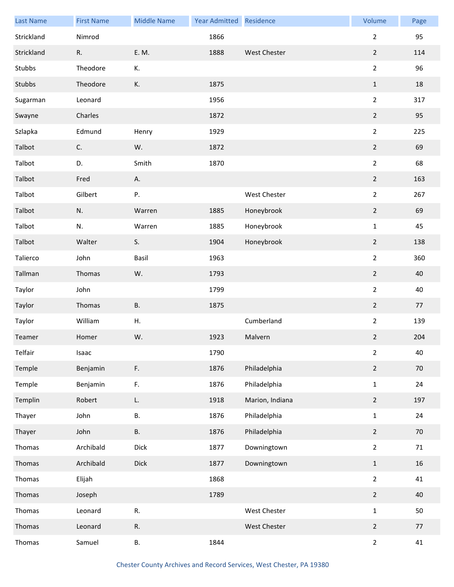| <b>Last Name</b> | <b>First Name</b> | <b>Middle Name</b> | <b>Year Admitted</b> | Residence           | Volume         | Page |
|------------------|-------------------|--------------------|----------------------|---------------------|----------------|------|
| Strickland       | Nimrod            |                    | 1866                 |                     | $\overline{2}$ | 95   |
| Strickland       | R.                | E. M.              | 1888                 | <b>West Chester</b> | $\overline{2}$ | 114  |
| Stubbs           | Theodore          | К.                 |                      |                     | $\overline{2}$ | 96   |
| Stubbs           | Theodore          | К.                 | 1875                 |                     | $\mathbf{1}$   | 18   |
| Sugarman         | Leonard           |                    | 1956                 |                     | $\overline{2}$ | 317  |
| Swayne           | Charles           |                    | 1872                 |                     | $\overline{2}$ | 95   |
| Szlapka          | Edmund            | Henry              | 1929                 |                     | $\overline{2}$ | 225  |
| Talbot           | C.                | W.                 | 1872                 |                     | $\overline{2}$ | 69   |
| Talbot           | D.                | Smith              | 1870                 |                     | $\overline{2}$ | 68   |
| Talbot           | Fred              | А.                 |                      |                     | $\overline{2}$ | 163  |
| Talbot           | Gilbert           | Ρ.                 |                      | West Chester        | $\overline{2}$ | 267  |
| Talbot           | N.                | Warren             | 1885                 | Honeybrook          | $\overline{2}$ | 69   |
| Talbot           | N.                | Warren             | 1885                 | Honeybrook          | $\mathbf{1}$   | 45   |
| Talbot           | Walter            | S.                 | 1904                 | Honeybrook          | $\overline{2}$ | 138  |
| Talierco         | John              | Basil              | 1963                 |                     | $\overline{2}$ | 360  |
| Tallman          | Thomas            | W.                 | 1793                 |                     | $\overline{2}$ | 40   |
| Taylor           | John              |                    | 1799                 |                     | $\overline{2}$ | 40   |
| Taylor           | Thomas            | <b>B.</b>          | 1875                 |                     | $\overline{2}$ | 77   |
| Taylor           | William           | Η.                 |                      | Cumberland          | $\overline{2}$ | 139  |
| Teamer           | Homer             | W.                 | 1923                 | Malvern             | $\overline{2}$ | 204  |
| Telfair          | Isaac             |                    | 1790                 |                     | $\overline{2}$ | 40   |
| Temple           | Benjamin          | F.                 | 1876                 | Philadelphia        | $\overline{2}$ | 70   |
| Temple           | Benjamin          | F.                 | 1876                 | Philadelphia        | $\mathbf{1}$   | 24   |
| Templin          | Robert            | L.                 | 1918                 | Marion, Indiana     | $\overline{2}$ | 197  |
| Thayer           | John              | <b>B.</b>          | 1876                 | Philadelphia        | $\mathbf{1}$   | 24   |
| Thayer           | John              | <b>B.</b>          | 1876                 | Philadelphia        | $\overline{2}$ | 70   |
| Thomas           | Archibald         | Dick               | 1877                 | Downingtown         | $\overline{2}$ | 71   |
| Thomas           | Archibald         | Dick               | 1877                 | Downingtown         | $\mathbf 1$    | 16   |
| Thomas           | Elijah            |                    | 1868                 |                     | $\overline{2}$ | 41   |
| Thomas           | Joseph            |                    | 1789                 |                     | $\overline{2}$ | 40   |
| Thomas           | Leonard           | R.                 |                      | West Chester        | $\mathbf{1}$   | 50   |
| Thomas           | Leonard           | ${\sf R}.$         |                      | West Chester        | $\overline{2}$ | 77   |
| Thomas           | Samuel            | В.                 | 1844                 |                     | $\overline{2}$ | 41   |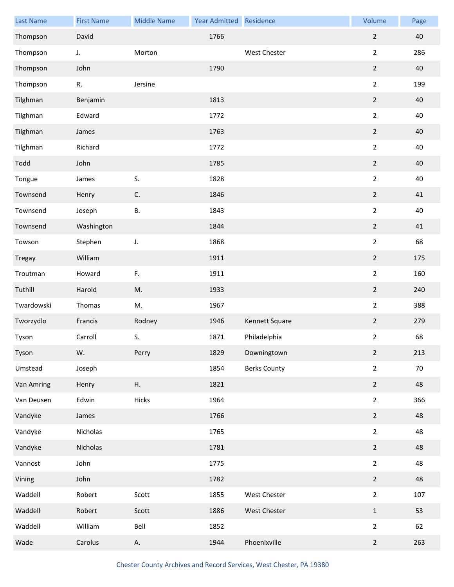| <b>Last Name</b> | <b>First Name</b> | <b>Middle Name</b> | <b>Year Admitted</b> | Residence           | Volume         | Page |
|------------------|-------------------|--------------------|----------------------|---------------------|----------------|------|
| Thompson         | David             |                    | 1766                 |                     | $\overline{2}$ | 40   |
| Thompson         | J.                | Morton             |                      | <b>West Chester</b> | $\overline{2}$ | 286  |
| Thompson         | John              |                    | 1790                 |                     | $\overline{2}$ | 40   |
| Thompson         | R.                | Jersine            |                      |                     | $\overline{2}$ | 199  |
| Tilghman         | Benjamin          |                    | 1813                 |                     | $\overline{2}$ | 40   |
| Tilghman         | Edward            |                    | 1772                 |                     | $\overline{2}$ | 40   |
| Tilghman         | James             |                    | 1763                 |                     | $\overline{2}$ | 40   |
| Tilghman         | Richard           |                    | 1772                 |                     | $\overline{2}$ | 40   |
| Todd             | John              |                    | 1785                 |                     | $\overline{2}$ | 40   |
| Tongue           | James             | S.                 | 1828                 |                     | $\overline{2}$ | 40   |
| Townsend         | Henry             | C.                 | 1846                 |                     | $\overline{2}$ | 41   |
| Townsend         | Joseph            | <b>B.</b>          | 1843                 |                     | $\overline{2}$ | 40   |
| Townsend         | Washington        |                    | 1844                 |                     | $\overline{2}$ | 41   |
| Towson           | Stephen           | J.                 | 1868                 |                     | $\overline{2}$ | 68   |
| <b>Tregay</b>    | William           |                    | 1911                 |                     | $\overline{2}$ | 175  |
| Troutman         | Howard            | $\mathsf F.$       | 1911                 |                     | $\overline{2}$ | 160  |
| Tuthill          | Harold            | M.                 | 1933                 |                     | $\overline{2}$ | 240  |
| Twardowski       | Thomas            | M.                 | 1967                 |                     | $\overline{2}$ | 388  |
| Tworzydlo        | Francis           | Rodney             | 1946                 | Kennett Square      | $\overline{2}$ | 279  |
| Tyson            | Carroll           | S.                 | 1871                 | Philadelphia        | $\overline{2}$ | 68   |
| Tyson            | W.                | Perry              | 1829                 | Downingtown         | $\overline{2}$ | 213  |
| Umstead          | Joseph            |                    | 1854                 | <b>Berks County</b> | $\overline{2}$ | 70   |
| Van Amring       | Henry             | Η.                 | 1821                 |                     | $\overline{2}$ | 48   |
| Van Deusen       | Edwin             | Hicks              | 1964                 |                     | $\overline{2}$ | 366  |
| Vandyke          | James             |                    | 1766                 |                     | $\overline{2}$ | 48   |
| Vandyke          | Nicholas          |                    | 1765                 |                     | $\overline{2}$ | 48   |
| Vandyke          | Nicholas          |                    | 1781                 |                     | $\overline{2}$ | 48   |
| Vannost          | John              |                    | 1775                 |                     | $\overline{2}$ | 48   |
| Vining           | John              |                    | 1782                 |                     | $\overline{2}$ | 48   |
| Waddell          | Robert            | Scott              | 1855                 | West Chester        | $\overline{2}$ | 107  |
| Waddell          | Robert            | Scott              | 1886                 | West Chester        | $\mathbf{1}$   | 53   |
| Waddell          | William           | Bell               | 1852                 |                     | $\overline{2}$ | 62   |
| Wade             | Carolus           | А.                 | 1944                 | Phoenixville        | $\overline{2}$ | 263  |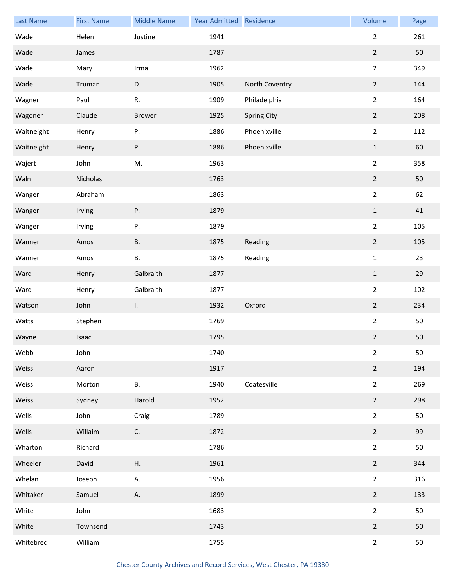| <b>Last Name</b> | <b>First Name</b> | <b>Middle Name</b> | <b>Year Admitted</b> | Residence      | Volume         | Page |
|------------------|-------------------|--------------------|----------------------|----------------|----------------|------|
| Wade             | Helen             | Justine            | 1941                 |                | $\overline{2}$ | 261  |
| Wade             | James             |                    | 1787                 |                | $\overline{2}$ | 50   |
| Wade             | Mary              | Irma               | 1962                 |                | $\overline{2}$ | 349  |
| Wade             | Truman            | D.                 | 1905                 | North Coventry | $\overline{2}$ | 144  |
| Wagner           | Paul              | R.                 | 1909                 | Philadelphia   | $\overline{2}$ | 164  |
| Wagoner          | Claude            | <b>Brower</b>      | 1925                 | Spring City    | $\overline{2}$ | 208  |
| Waitneight       | Henry             | Ρ.                 | 1886                 | Phoenixville   | $\overline{2}$ | 112  |
| Waitneight       | Henry             | Ρ.                 | 1886                 | Phoenixville   | $\mathbf{1}$   | 60   |
| Wajert           | John              | M.                 | 1963                 |                | $\overline{2}$ | 358  |
| Waln             | Nicholas          |                    | 1763                 |                | $\overline{2}$ | 50   |
| Wanger           | Abraham           |                    | 1863                 |                | $\overline{2}$ | 62   |
| Wanger           | Irving            | Ρ.                 | 1879                 |                | $\,1\,$        | 41   |
| Wanger           | Irving            | Ρ.                 | 1879                 |                | $\overline{2}$ | 105  |
| Wanner           | Amos              | В.                 | 1875                 | Reading        | $\overline{2}$ | 105  |
| Wanner           | Amos              | В.                 | 1875                 | Reading        | $\mathbf 1$    | 23   |
| Ward             | Henry             | Galbraith          | 1877                 |                | $\,1\,$        | 29   |
| Ward             | Henry             | Galbraith          | 1877                 |                | $\overline{2}$ | 102  |
| Watson           | John              | I.                 | 1932                 | Oxford         | $\overline{2}$ | 234  |
| Watts            | Stephen           |                    | 1769                 |                | $\overline{2}$ | 50   |
| Wayne            | Isaac             |                    | 1795                 |                | $\overline{2}$ | 50   |
| Webb             | John              |                    | 1740                 |                | $\overline{2}$ | 50   |
| Weiss            | Aaron             |                    | 1917                 |                | $\overline{2}$ | 194  |
| Weiss            | Morton            | В.                 | 1940                 | Coatesville    | $\overline{2}$ | 269  |
| Weiss            | Sydney            | Harold             | 1952                 |                | $\overline{2}$ | 298  |
| Wells            | John              | Craig              | 1789                 |                | $\overline{2}$ | 50   |
| Wells            | Willaim           | C.                 | 1872                 |                | $\overline{2}$ | 99   |
| Wharton          | Richard           |                    | 1786                 |                | $\overline{2}$ | 50   |
| Wheeler          | David             | Η.                 | 1961                 |                | $\overline{2}$ | 344  |
| Whelan           | Joseph            | А.                 | 1956                 |                | $\overline{2}$ | 316  |
| Whitaker         | Samuel            | А.                 | 1899                 |                | $\overline{2}$ | 133  |
| White            | John              |                    | 1683                 |                | $\overline{2}$ | 50   |
| White            | Townsend          |                    | 1743                 |                | $\overline{2}$ | 50   |
| Whitebred        | William           |                    | 1755                 |                | $\overline{2}$ | 50   |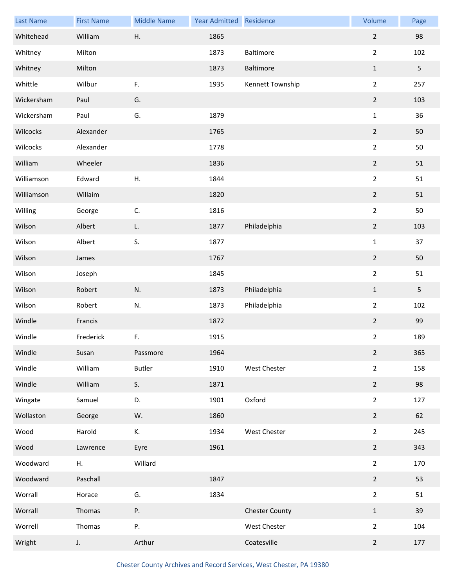| <b>Last Name</b> | <b>First Name</b> | <b>Middle Name</b> | <b>Year Admitted</b> | Residence             | Volume                  | Page |
|------------------|-------------------|--------------------|----------------------|-----------------------|-------------------------|------|
| Whitehead        | William           | Η.                 | 1865                 |                       | $\overline{2}$          | 98   |
| Whitney          | Milton            |                    | 1873                 | Baltimore             | $\overline{2}$          | 102  |
| Whitney          | Milton            |                    | 1873                 | Baltimore             | $\mathbf{1}$            | 5    |
| Whittle          | Wilbur            | F.                 | 1935                 | Kennett Township      | $\overline{2}$          | 257  |
| Wickersham       | Paul              | G.                 |                      |                       | $\mathbf 2$             | 103  |
| Wickersham       | Paul              | G.                 | 1879                 |                       | $\mathbf{1}$            | 36   |
| Wilcocks         | Alexander         |                    | 1765                 |                       | $\overline{2}$          | 50   |
| Wilcocks         | Alexander         |                    | 1778                 |                       | $\overline{2}$          | 50   |
| William          | Wheeler           |                    | 1836                 |                       | $\mathbf 2$             | 51   |
| Williamson       | Edward            | Η.                 | 1844                 |                       | $\overline{2}$          | 51   |
| Williamson       | Willaim           |                    | 1820                 |                       | $\overline{2}$          | 51   |
| Willing          | George            | C.                 | 1816                 |                       | $\overline{2}$          | 50   |
| Wilson           | Albert            | L.                 | 1877                 | Philadelphia          | $\mathbf 2$             | 103  |
| Wilson           | Albert            | S.                 | 1877                 |                       | $\mathbf 1$             | 37   |
| Wilson           | James             |                    | 1767                 |                       | $\overline{2}$          | 50   |
| Wilson           | Joseph            |                    | 1845                 |                       | $\overline{2}$          | 51   |
| Wilson           | Robert            | N.                 | 1873                 | Philadelphia          | $\mathbf{1}$            | 5    |
| Wilson           | Robert            | N.                 | 1873                 | Philadelphia          | $\overline{2}$          | 102  |
| Windle           | Francis           |                    | 1872                 |                       | $\boldsymbol{2}$        | 99   |
| Windle           | Frederick         | F.                 | 1915                 |                       | $\overline{\mathbf{c}}$ | 189  |
| Windle           | Susan             | Passmore           | 1964                 |                       | $\overline{2}$          | 365  |
| Windle           | William           | <b>Butler</b>      | 1910                 | West Chester          | $\overline{2}$          | 158  |
| Windle           | William           | S.                 | 1871                 |                       | $\overline{2}$          | 98   |
| Wingate          | Samuel            | D.                 | 1901                 | Oxford                | $\overline{2}$          | 127  |
| Wollaston        | George            | W.                 | 1860                 |                       | $\overline{2}$          | 62   |
| Wood             | Harold            | К.                 | 1934                 | West Chester          | $\overline{2}$          | 245  |
| Wood             | Lawrence          | Eyre               | 1961                 |                       | $\overline{2}$          | 343  |
| Woodward         | Η.                | Willard            |                      |                       | $\overline{2}$          | 170  |
| Woodward         | Paschall          |                    | 1847                 |                       | $\overline{2}$          | 53   |
| Worrall          | Horace            | G.                 | 1834                 |                       | $\overline{2}$          | 51   |
| Worrall          | Thomas            | Ρ.                 |                      | <b>Chester County</b> | $\mathbf{1}$            | 39   |
| Worrell          | Thomas            | Ρ.                 |                      | West Chester          | $\overline{2}$          | 104  |
| Wright           | J.                | Arthur             |                      | Coatesville           | $\overline{2}$          | 177  |